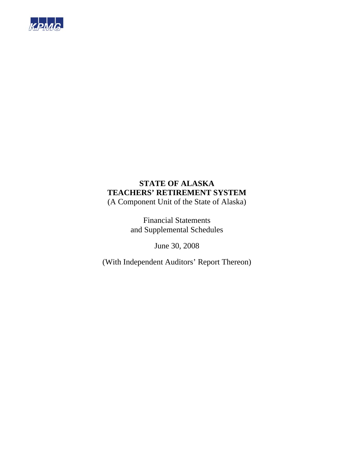

(A Component Unit of the State of Alaska)

Financial Statements and Supplemental Schedules

June 30, 2008

(With Independent Auditors' Report Thereon)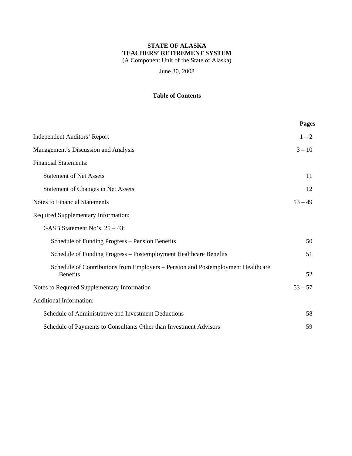(A Component Unit of the State of Alaska)

June 30, 2008

## **Table of Contents**

|                                                                                                     | Pages     |
|-----------------------------------------------------------------------------------------------------|-----------|
| <b>Independent Auditors' Report</b>                                                                 | $1 - 2$   |
| Management's Discussion and Analysis                                                                | $3 - 10$  |
| <b>Financial Statements:</b>                                                                        |           |
| <b>Statement of Net Assets</b>                                                                      | 11        |
| Statement of Changes in Net Assets                                                                  | 12        |
| <b>Notes to Financial Statements</b>                                                                | $13 - 49$ |
| Required Supplementary Information:                                                                 |           |
| GASB Statement No's. $25 - 43$ :                                                                    |           |
| Schedule of Funding Progress – Pension Benefits                                                     | 50        |
| Schedule of Funding Progress - Postemployment Healthcare Benefits                                   | 51        |
| Schedule of Contributions from Employers – Pension and Postemployment Healthcare<br><b>Benefits</b> | 52        |
| Notes to Required Supplementary Information                                                         | $53 - 57$ |
| <b>Additional Information:</b>                                                                      |           |
| Schedule of Administrative and Investment Deductions                                                | 58        |
| Schedule of Payments to Consultants Other than Investment Advisors                                  | 59        |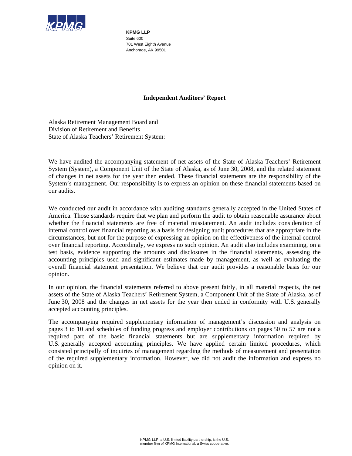

**KPMG LLP**  Suite 600 701 West Eighth Avenue Anchorage, AK 99501

## **Independent Auditors' Report**

Alaska Retirement Management Board and Division of Retirement and Benefits State of Alaska Teachers' Retirement System:

We have audited the accompanying statement of net assets of the State of Alaska Teachers' Retirement System (System), a Component Unit of the State of Alaska, as of June 30, 2008, and the related statement of changes in net assets for the year then ended. These financial statements are the responsibility of the System's management. Our responsibility is to express an opinion on these financial statements based on our audits.

We conducted our audit in accordance with auditing standards generally accepted in the United States of America. Those standards require that we plan and perform the audit to obtain reasonable assurance about whether the financial statements are free of material misstatement. An audit includes consideration of internal control over financial reporting as a basis for designing audit procedures that are appropriate in the circumstances, but not for the purpose of expressing an opinion on the effectiveness of the internal control over financial reporting. Accordingly, we express no such opinion. An audit also includes examining, on a test basis, evidence supporting the amounts and disclosures in the financial statements, assessing the accounting principles used and significant estimates made by management, as well as evaluating the overall financial statement presentation. We believe that our audit provides a reasonable basis for our opinion.

In our opinion, the financial statements referred to above present fairly, in all material respects, the net assets of the State of Alaska Teachers' Retirement System, a Component Unit of the State of Alaska, as of June 30, 2008 and the changes in net assets for the year then ended in conformity with U.S. generally accepted accounting principles.

The accompanying required supplementary information of management's discussion and analysis on pages 3 to 10 and schedules of funding progress and employer contributions on pages 50 to 57 are not a required part of the basic financial statements but are supplementary information required by U.S. generally accepted accounting principles. We have applied certain limited procedures, which consisted principally of inquiries of management regarding the methods of measurement and presentation of the required supplementary information. However, we did not audit the information and express no opinion on it.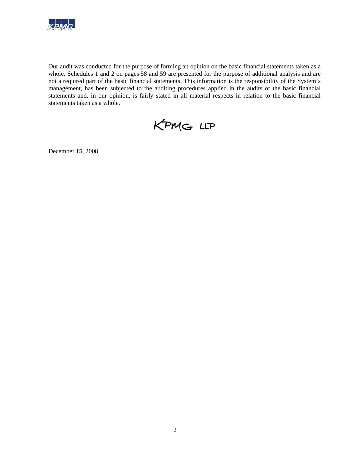

Our audit was conducted for the purpose of forming an opinion on the basic financial statements taken as a whole. Schedules 1 and 2 on pages 58 and 59 are presented for the purpose of additional analysis and are not a required part of the basic financial statements. This information is the responsibility of the System's management, has been subjected to the auditing procedures applied in the audits of the basic financial statements and, in our opinion, is fairly stated in all material respects in relation to the basic financial statements taken as a whole.



December 15, 2008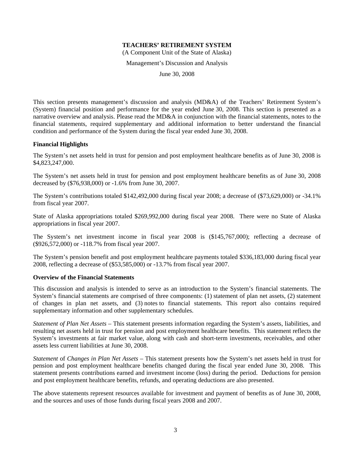(A Component Unit of the State of Alaska)

Management's Discussion and Analysis

June 30, 2008

This section presents management's discussion and analysis (MD&A) of the Teachers' Retirement System's (System) financial position and performance for the year ended June 30, 2008. This section is presented as a narrative overview and analysis. Please read the MD&A in conjunction with the financial statements, notes to the financial statements, required supplementary and additional information to better understand the financial condition and performance of the System during the fiscal year ended June 30, 2008.

#### **Financial Highlights**

The System's net assets held in trust for pension and post employment healthcare benefits as of June 30, 2008 is \$4,823,247,000.

The System's net assets held in trust for pension and post employment healthcare benefits as of June 30, 2008 decreased by (\$76,938,000) or -1.6% from June 30, 2007.

The System's contributions totaled \$142,492,000 during fiscal year 2008; a decrease of (\$73,629,000) or -34.1% from fiscal year 2007.

State of Alaska appropriations totaled \$269,992,000 during fiscal year 2008. There were no State of Alaska appropriations in fiscal year 2007.

The System's net investment income in fiscal year 2008 is (\$145,767,000); reflecting a decrease of (\$926,572,000) or -118.7% from fiscal year 2007.

The System's pension benefit and post employment healthcare payments totaled \$336,183,000 during fiscal year 2008, reflecting a decrease of (\$53,585,000) or -13.7% from fiscal year 2007.

#### **Overview of the Financial Statements**

This discussion and analysis is intended to serve as an introduction to the System's financial statements. The System's financial statements are comprised of three components: (1) statement of plan net assets, (2) statement of changes in plan net assets, and (3) notes to financial statements. This report also contains required supplementary information and other supplementary schedules.

*Statement of Plan Net Assets* – This statement presents information regarding the System's assets, liabilities, and resulting net assets held in trust for pension and post employment healthcare benefits. This statement reflects the System's investments at fair market value, along with cash and short-term investments, receivables, and other assets less current liabilities at June 30, 2008.

*Statement* of *Changes in Plan Net Assets* – This statement presents how the System's net assets held in trust for pension and post employment healthcare benefits changed during the fiscal year ended June 30, 2008. This statement presents contributions earned and investment income (loss) during the period. Deductions for pension and post employment healthcare benefits, refunds, and operating deductions are also presented.

The above statements represent resources available for investment and payment of benefits as of June 30, 2008, and the sources and uses of those funds during fiscal years 2008 and 2007.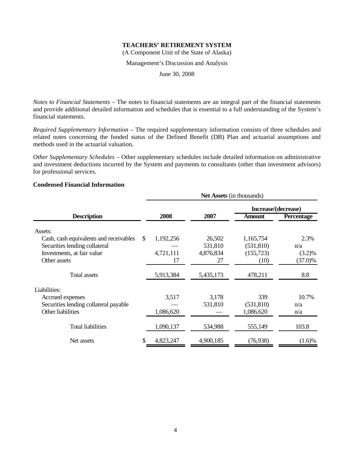(A Component Unit of the State of Alaska)

Management's Discussion and Analysis

June 30, 2008

*Notes to Financial Statements* – The notes to financial statements are an integral part of the financial statements and provide additional detailed information and schedules that is essential to a full understanding of the System's financial statements.

*Required Supplementary Information* – The required supplementary information consists of three schedules and related notes concerning the funded status of the Defined Benefit (DB) Plan and actuarial assumptions and methods used in the actuarial valuation.

*Other Supplementary Schedules* – Other supplementary schedules include detailed information on administrative and investment deductions incurred by the System and payments to consultants (other than investment advisors) for professional services.

## **Condensed Financial Information**

|                                        | <b>Net Assets</b> (in thousands) |           |           |                     |                   |  |  |  |
|----------------------------------------|----------------------------------|-----------|-----------|---------------------|-------------------|--|--|--|
|                                        |                                  |           |           | Increase/(decrease) |                   |  |  |  |
| <b>Description</b>                     |                                  | 2008      | 2007      | <b>Amount</b>       | <b>Percentage</b> |  |  |  |
| Assets:                                |                                  |           |           |                     |                   |  |  |  |
| Cash, cash equivalents and receivables | <sup>\$</sup>                    | 1,192,256 | 26,502    | 1,165,754           | 2.3%              |  |  |  |
| Securities lending collateral          |                                  |           | 531,810   | (531, 810)          | n/a               |  |  |  |
| Investments, at fair value             |                                  | 4,721,111 | 4,876,834 | (155, 723)          | $(3.2)\%$         |  |  |  |
| Other assets                           |                                  | 17        | 27        | (10)                | $(37.0)\%$        |  |  |  |
| <b>Total assets</b>                    |                                  | 5,913,384 | 5,435,173 | 478,211             | 8.8               |  |  |  |
| Liabilities:                           |                                  |           |           |                     |                   |  |  |  |
| Accrued expenses                       |                                  | 3,517     | 3,178     | 339                 | 10.7%             |  |  |  |
| Securities lending collateral payable  |                                  |           | 531,810   | (531, 810)          | n/a               |  |  |  |
| Other liabilities                      |                                  | 1,086,620 |           | 1,086,620           | n/a               |  |  |  |
| <b>Total liabilities</b>               |                                  | 1,090,137 | 534,988   | 555,149             | 103.8             |  |  |  |
| Net assets                             | \$                               | 4,823,247 | 4,900,185 | (76, 938)           | $(1.6)\%$         |  |  |  |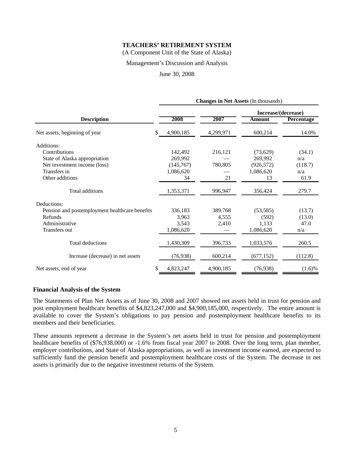(A Component Unit of the State of Alaska)

#### Management's Discussion and Analysis

#### June 30, 2008

|                                                | <b>Changes in Net Assets (In thousands)</b> |           |           |                     |                   |  |  |  |  |
|------------------------------------------------|---------------------------------------------|-----------|-----------|---------------------|-------------------|--|--|--|--|
|                                                |                                             |           |           | Increase/(decrease) |                   |  |  |  |  |
| <b>Description</b>                             |                                             | 2008      | 2007      | <b>Amount</b>       | <b>Percentage</b> |  |  |  |  |
| Net assets, beginning of year                  | \$                                          | 4,900,185 | 4,299,971 | 600,214             | 14.0%             |  |  |  |  |
| Additions:                                     |                                             |           |           |                     |                   |  |  |  |  |
| Contributions                                  |                                             | 142,492   | 216,121   | (73,629)            | (34.1)            |  |  |  |  |
| State of Alaska appropriation                  |                                             | 269,992   |           | 269,992             | n/a               |  |  |  |  |
| Net investment income (loss)                   |                                             | (145,767) | 780,805   | (926, 572)          | (118.7)           |  |  |  |  |
| Transfers in                                   |                                             | 1,086,620 |           | 1,086,620           | n/a               |  |  |  |  |
| Other additions                                |                                             | 34        | 21        | 13                  | 61.9              |  |  |  |  |
| Total additions                                |                                             | 1,353,371 | 996,947   | 356,424             | 279.7             |  |  |  |  |
| Deductions:                                    |                                             |           |           |                     |                   |  |  |  |  |
| Pension and postemployment healthcare benefits |                                             | 336,183   | 389,768   | (53, 585)           | (13.7)            |  |  |  |  |
| Refunds                                        |                                             | 3,963     | 4,555     | (592)               | (13.0)            |  |  |  |  |
| Administrative                                 |                                             | 3,543     | 2,410     | 1,133               | 47.0              |  |  |  |  |
| Transfers out                                  |                                             | 1,086,620 |           | 1,086,620           | n/a               |  |  |  |  |
| <b>Total deductions</b>                        |                                             | 1,430,309 | 396,733   | 1,033,576           | 260.5             |  |  |  |  |
| Increase (decrease) in net assets              |                                             | (76,938)  | 600,214   | (677, 152)          | (112.8)           |  |  |  |  |
| Net assets, end of year                        | \$                                          | 4,823,247 | 4,900,185 | (76, 938)           | $(1.6)\%$         |  |  |  |  |

#### **Financial Analysis of the System**

The Statements of Plan Net Assets as of June 30, 2008 and 2007 showed net assets held in trust for pension and post employment healthcare benefits of \$4,823,247,000 and \$4,900,185,000, respectively. The entire amount is available to cover the System's obligations to pay pension and postemployment healthcare benefits to its members and their beneficiaries.

These amounts represent a decrease in the System's net assets held in trust for pension and postemployment healthcare benefits of (\$76,938,000) or -1.6% from fiscal year 2007 to 2008. Over the long term, plan member, employer contributions, and State of Alaska appropriations, as well as investment income earned, are expected to sufficiently fund the pension benefit and postemployment healthcare costs of the System. The decrease in net assets is primarily due to the negative investment returns of the System.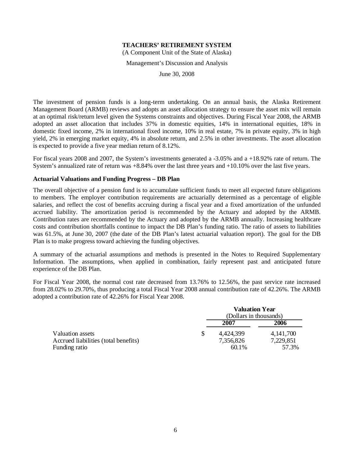(A Component Unit of the State of Alaska)

Management's Discussion and Analysis

June 30, 2008

The investment of pension funds is a long-term undertaking. On an annual basis, the Alaska Retirement Management Board (ARMB) reviews and adopts an asset allocation strategy to ensure the asset mix will remain at an optimal risk/return level given the Systems constraints and objectives. During Fiscal Year 2008, the ARMB adopted an asset allocation that includes 37% in domestic equities, 14% in international equities, 18% in domestic fixed income, 2% in international fixed income, 10% in real estate, 7% in private equity, 3% in high yield, 2% in emerging market equity, 4% in absolute return, and 2.5% in other investments. The asset allocation is expected to provide a five year median return of 8.12%.

For fiscal years 2008 and 2007, the System's investments generated a -3.05% and a +18.92% rate of return. The System's annualized rate of return was +8.84% over the last three years and +10.10% over the last five years.

#### **Actuarial Valuations and Funding Progress – DB Plan**

The overall objective of a pension fund is to accumulate sufficient funds to meet all expected future obligations to members. The employer contribution requirements are actuarially determined as a percentage of eligible salaries, and reflect the cost of benefits accruing during a fiscal year and a fixed amortization of the unfunded accrued liability. The amortization period is recommended by the Actuary and adopted by the ARMB. Contribution rates are recommended by the Actuary and adopted by the ARMB annually. Increasing healthcare costs and contribution shortfalls continue to impact the DB Plan's funding ratio. The ratio of assets to liabilities was 61.5%, at June 30, 2007 (the date of the DB Plan's latest actuarial valuation report). The goal for the DB Plan is to make progress toward achieving the funding objectives.

A summary of the actuarial assumptions and methods is presented in the Notes to Required Supplementary Information. The assumptions, when applied in combination, fairly represent past and anticipated future experience of the DB Plan.

For Fiscal Year 2008, the normal cost rate decreased from 13.76% to 12.56%, the past service rate increased from 28.02% to 29.70%, thus producing a total Fiscal Year 2008 annual contribution rate of 42.26%. The ARMB adopted a contribution rate of 42.26% for Fiscal Year 2008.

|                                      | <b>Valuation Year</b>          |             |  |  |  |
|--------------------------------------|--------------------------------|-------------|--|--|--|
|                                      | (Dollars in thousands)<br>2007 | 2006        |  |  |  |
| Valuation assets                     | 4,424,399                      | 4, 141, 700 |  |  |  |
| Accrued liabilities (total benefits) | 7,356,826                      | 7,229,851   |  |  |  |
| Funding ratio                        | 60.1%                          | 57.3%       |  |  |  |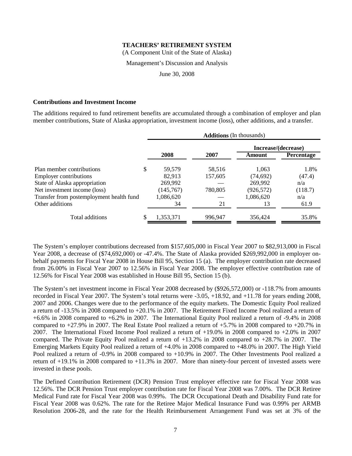(A Component Unit of the State of Alaska)

#### Management's Discussion and Analysis

June 30, 2008

#### **Contributions and Investment Income**

The additions required to fund retirement benefits are accumulated through a combination of employer and plan member contributions, State of Alaska appropriation, investment income (loss), other additions, and a transfer.

|                                          | <b>Additions</b> (In thousands) |         |                     |                   |  |  |  |  |
|------------------------------------------|---------------------------------|---------|---------------------|-------------------|--|--|--|--|
|                                          |                                 |         | Increase/(decrease) |                   |  |  |  |  |
|                                          | 2008                            | 2007    | Amount              | <b>Percentage</b> |  |  |  |  |
| Plan member contributions                | \$<br>59,579                    | 58,516  | 1,063               | 1.8%              |  |  |  |  |
| <b>Employer contributions</b>            | 82.913                          | 157,605 | (74, 692)           | (47.4)            |  |  |  |  |
| State of Alaska appropriation            | 269,992                         |         | 269,992             | n/a               |  |  |  |  |
| Net investment income (loss)             | (145,767)                       | 780,805 | (926, 572)          | (118.7)           |  |  |  |  |
| Transfer from postemployment health fund | 1,086,620                       |         | 1,086,620           | n/a               |  |  |  |  |
| Other additions                          | 34                              | 21      | 13                  | 61.9              |  |  |  |  |
| Total additions                          | 1,353,371                       | 996,947 | 356,424             | 35.8%             |  |  |  |  |

The System's employer contributions decreased from \$157,605,000 in Fiscal Year 2007 to \$82,913,000 in Fiscal Year 2008, a decrease of (\$74,692,000) or -47.4%. The State of Alaska provided \$269,992,000 in employer onbehalf payments for Fiscal Year 2008 in House Bill 95, Section 15 (a). The employer contribution rate decreased from 26.00% in Fiscal Year 2007 to 12.56% in Fiscal Year 2008. The employer effective contribution rate of 12.56% for Fiscal Year 2008 was established in House Bill 95, Section 15 (b).

The System's net investment income in Fiscal Year 2008 decreased by (\$926,572,000) or -118.7% from amounts recorded in Fiscal Year 2007. The System's total returns were -3.05, +18.92, and +11.78 for years ending 2008, 2007 and 2006. Changes were due to the performance of the equity markets. The Domestic Equity Pool realized a return of -13.5% in 2008 compared to +20.1% in 2007. The Retirement Fixed Income Pool realized a return of +6.6% in 2008 compared to +6.2% in 2007. The International Equity Pool realized a return of -9.4% in 2008 compared to  $+27.9\%$  in 2007. The Real Estate Pool realized a return of  $+5.7\%$  in 2008 compared to  $+20.7\%$  in 2007. The International Fixed Income Pool realized a return of +19.0% in 2008 compared to +2.0% in 2007 compared. The Private Equity Pool realized a return of  $+13.2\%$  in 2008 compared to  $+28.7\%$  in 2007. The Emerging Markets Equity Pool realized a return of +4.0% in 2008 compared to +48.0% in 2007. The High Yield Pool realized a return of -0.9% in 2008 compared to +10.9% in 2007. The Other Investments Pool realized a return of  $+19.1\%$  in 2008 compared to  $+11.3\%$  in 2007. More than ninety-four percent of invested assets were invested in these pools.

The Defined Contribution Retirement (DCR) Pension Trust employer effective rate for Fiscal Year 2008 was 12.56%. The DCR Pension Trust employer contribution rate for Fiscal Year 2008 was 7.00%. The DCR Retiree Medical Fund rate for Fiscal Year 2008 was 0.99%. The DCR Occupational Death and Disability Fund rate for Fiscal Year 2008 was 0.62%. The rate for the Retiree Major Medical Insurance Fund was 0.99% per ARMB Resolution 2006-28, and the rate for the Health Reimbursement Arrangement Fund was set at 3% of the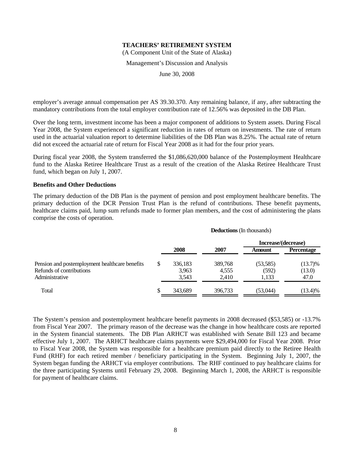(A Component Unit of the State of Alaska)

#### Management's Discussion and Analysis

June 30, 2008

employer's average annual compensation per AS 39.30.370. Any remaining balance, if any, after subtracting the mandatory contributions from the total employer contribution rate of 12.56% was deposited in the DB Plan.

Over the long term, investment income has been a major component of additions to System assets. During Fiscal Year 2008, the System experienced a significant reduction in rates of return on investments. The rate of return used in the actuarial valuation report to determine liabilities of the DB Plan was 8.25%. The actual rate of return did not exceed the actuarial rate of return for Fiscal Year 2008 as it had for the four prior years.

During fiscal year 2008, the System transferred the \$1,086,620,000 balance of the Postemployment Healthcare fund to the Alaska Retiree Healthcare Trust as a result of the creation of the Alaska Retiree Healthcare Trust fund, which began on July 1, 2007.

#### **Benefits and Other Deductions**

The primary deduction of the DB Plan is the payment of pension and post employment healthcare benefits. The primary deduction of the DCR Pension Trust Plan is the refund of contributions. These benefit payments, healthcare claims paid, lump sum refunds made to former plan members, and the cost of administering the plans comprise the costs of operation.

|                                                |    | <b>Deductions</b> (In thousands) |                     |           |                   |  |  |  |
|------------------------------------------------|----|----------------------------------|---------------------|-----------|-------------------|--|--|--|
|                                                |    |                                  | Increase/(decrease) |           |                   |  |  |  |
|                                                |    | 2008                             | 2007                | Amount    | <b>Percentage</b> |  |  |  |
| Pension and postemployment healthcare benefits | S  | 336,183                          | 389,768             | (53, 585) | $(13.7)\%$        |  |  |  |
| Refunds of contributions                       |    | 3,963                            | 4,555               | (592)     | (13.0)            |  |  |  |
| Administrative                                 |    | 3,543                            | 2,410               | 1,133     | 47.0              |  |  |  |
| Total                                          | \$ | 343,689                          | 396,733             | (53,044)  | $(13.4)\%$        |  |  |  |

The System's pension and postemployment healthcare benefit payments in 2008 decreased (\$53,585) or -13.7% from Fiscal Year 2007. The primary reason of the decrease was the change in how healthcare costs are reported in the System financial statements. The DB Plan ARHCT was established with Senate Bill 123 and became effective July 1, 2007. The ARHCT healthcare claims payments were \$29,494,000 for Fiscal Year 2008. Prior to Fiscal Year 2008, the System was responsible for a healthcare premium paid directly to the Retiree Health Fund (RHF) for each retired member / beneficiary participating in the System. Beginning July 1, 2007, the System began funding the ARHCT via employer contributions. The RHF continued to pay healthcare claims for the three participating Systems until February 29, 2008. Beginning March 1, 2008, the ARHCT is responsible for payment of healthcare claims.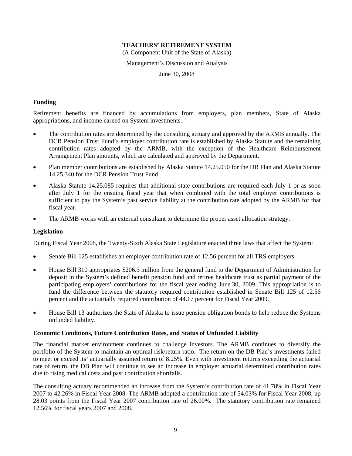(A Component Unit of the State of Alaska)

Management's Discussion and Analysis

June 30, 2008

#### **Funding**

Retirement benefits are financed by accumulations from employers, plan members, State of Alaska appropriations, and income earned on System investments.

- The contribution rates are determined by the consulting actuary and approved by the ARMB annually. The DCR Pension Trust Fund's employer contribution rate is established by Alaska Statute and the remaining contribution rates adopted by the ARMB, with the exception of the Healthcare Reimbursement Arrangement Plan amounts, which are calculated and approved by the Department.
- Plan member contributions are established by Alaska Statute 14.25.050 for the DB Plan and Alaska Statute 14.25.340 for the DCR Pension Trust Fund.
- Alaska Statute 14.25.085 requires that additional state contributions are required each July 1 or as soon after July 1 for the ensuing fiscal year that when combined with the total employer contributions is sufficient to pay the System's past service liability at the contribution rate adopted by the ARMB for that fiscal year.
- The ARMB works with an external consultant to determine the proper asset allocation strategy.

#### **Legislation**

During Fiscal Year 2008, the Twenty-Sixth Alaska State Legislature enacted three laws that affect the System:

- Senate Bill 125 establishes an employer contribution rate of 12.56 percent for all TRS employers.
- House Bill 310 appropriates \$206.3 million from the general fund to the Department of Administration for deposit in the System's defined benefit pension fund and retiree healthcare trust as partial payment of the participating employers' contributions for the fiscal year ending June 30, 2009. This appropriation is to fund the difference between the statutory required contribution established in Senate Bill 125 of 12.56 percent and the actuarially required contribution of 44.17 percent for Fiscal Year 2009.
- House Bill 13 authorizes the State of Alaska to issue pension obligation bonds to help reduce the Systems unfunded liability.

#### **Economic Conditions, Future Contribution Rates, and Status of Unfunded Liability**

The financial market environment continues to challenge investors. The ARMB continues to diversify the portfolio of the System to maintain an optimal risk/return ratio. The return on the DB Plan's investments failed to meet or exceed its' actuarially assumed return of 8.25%. Even with investment returns exceeding the actuarial rate of return, the DB Plan will continue to see an increase in employer actuarial determined contribution rates due to rising medical costs and past contribution shortfalls.

The consulting actuary recommended an increase from the System's contribution rate of 41.78% in Fiscal Year 2007 to 42.26% in Fiscal Year 2008. The ARMB adopted a contribution rate of 54.03% for Fiscal Year 2008, up 28.03 points from the Fiscal Year 2007 contribution rate of 26.00%. The statutory contribution rate remained 12.56% for fiscal years 2007 and 2008.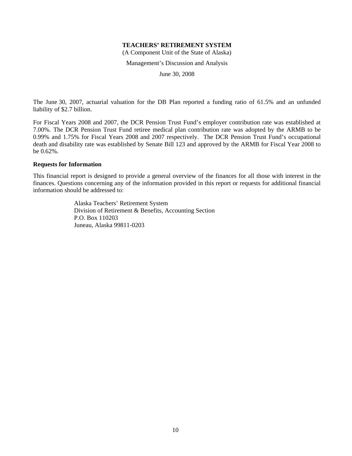(A Component Unit of the State of Alaska)

Management's Discussion and Analysis

June 30, 2008

The June 30, 2007, actuarial valuation for the DB Plan reported a funding ratio of 61.5% and an unfunded liability of \$2.7 billion.

For Fiscal Years 2008 and 2007, the DCR Pension Trust Fund's employer contribution rate was established at 7.00%. The DCR Pension Trust Fund retiree medical plan contribution rate was adopted by the ARMB to be 0.99% and 1.75% for Fiscal Years 2008 and 2007 respectively. The DCR Pension Trust Fund's occupational death and disability rate was established by Senate Bill 123 and approved by the ARMB for Fiscal Year 2008 to be 0.62%.

#### **Requests for Information**

This financial report is designed to provide a general overview of the finances for all those with interest in the finances. Questions concerning any of the information provided in this report or requests for additional financial information should be addressed to:

> Alaska Teachers' Retirement System Division of Retirement & Benefits, Accounting Section P.O. Box 110203 Juneau, Alaska 99811-0203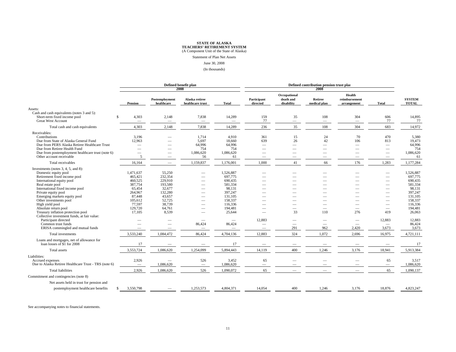Statement of Plan Net Assets

#### June 30, 2008

(In thousands)

|                                                                                                                |                          |                              | Defined benefit plan<br>2008       |           | Defined contribution pension trust plar<br>2008 |                                         |                                 |                                        |                                 |                               |
|----------------------------------------------------------------------------------------------------------------|--------------------------|------------------------------|------------------------------------|-----------|-------------------------------------------------|-----------------------------------------|---------------------------------|----------------------------------------|---------------------------------|-------------------------------|
|                                                                                                                | Pension                  | Postemployment<br>healthcare | Alaska retiree<br>healthcare trust | Total     | Participant<br>directed                         | Occupational<br>death and<br>disability | Retiree<br>medical plan         | Health<br>reimbursement<br>arrangement | <b>Total</b>                    | <b>SYSTEM</b><br><b>TOTAL</b> |
| Assets:                                                                                                        |                          |                              |                                    |           |                                                 |                                         |                                 |                                        |                                 |                               |
| Cash and cash equivalents (notes 3 and 5):<br>Short-term fixed income pool<br>\$.<br><b>Great West Account</b> | 4,303                    | 2,148                        | 7,838<br>$\overline{\phantom{0}}$  | 14,289    | 159<br>77                                       | 35<br>$\overline{\phantom{0}}$          | 108<br>$\overline{\phantom{m}}$ | 304<br>$\overline{\phantom{0}}$        | 606<br>77                       | 14,895<br>77                  |
| Total cash and cash equivalents                                                                                | 4,303                    | 2,148                        | 7,838                              | 14,289    | 236                                             | 35                                      | 108                             | 304                                    | 683                             | 14,972                        |
| Receivables:                                                                                                   |                          |                              |                                    |           |                                                 |                                         |                                 |                                        |                                 |                               |
| Contributions                                                                                                  | 3.196                    |                              | 1,714                              | 4.910     | 361                                             | 15                                      | 24                              | 70                                     | 470                             | 5,380                         |
| Due from State of Alaska General Fund                                                                          | 12,963                   |                              | 5,697                              | 18,660    | 639                                             | 26                                      | 42                              | 106                                    | 813                             | 19,473                        |
| Due from PERS Alaska Retiree Healthcare Trust                                                                  | $\overline{\phantom{0}}$ |                              | 64,996                             | 64,996    |                                                 |                                         |                                 | $\overline{\phantom{0}}$               | $\overline{\phantom{0}}$        | 64,996                        |
| Due from Retiree Health Fund                                                                                   |                          |                              | 754                                | 754       |                                                 |                                         |                                 |                                        |                                 | 754                           |
| Due from postemployment healthcare trust (note 6)                                                              |                          |                              | 1,086,620                          | 1,086,620 |                                                 |                                         |                                 |                                        |                                 | 1,086,620                     |
| Other account receivable                                                                                       | 5                        | $\overline{\phantom{a}}$     | 56                                 | 61        |                                                 |                                         |                                 |                                        | $\hspace{0.1mm}-\hspace{0.1mm}$ | 61                            |
| Total receivables                                                                                              | 16,164                   |                              | 1,159,837                          | 1,176,001 | 1,000                                           | 41                                      | 66                              | 176                                    | 1,283                           | 1,177,284                     |
|                                                                                                                |                          |                              |                                    |           |                                                 |                                         |                                 |                                        |                                 |                               |
| Investments (notes 3, 4, 5, and 8):                                                                            |                          |                              |                                    |           |                                                 |                                         |                                 |                                        |                                 |                               |
| Domestic equity pool                                                                                           | 1,471,637                | 55,250                       |                                    | 1,526,887 |                                                 |                                         |                                 |                                        |                                 | 1,526,887                     |
| Retirement fixed income pool                                                                                   | 465,421                  | 232,354                      |                                    | 697,775   |                                                 |                                         |                                 |                                        |                                 | 697,775                       |
| International equity pool                                                                                      | 460,525                  | 229,910                      |                                    | 690,435   |                                                 |                                         |                                 |                                        |                                 | 690,435                       |
| Real estate pool                                                                                               | 387,754                  | 193,580                      |                                    | 581,334   |                                                 |                                         |                                 |                                        |                                 | 581,334                       |
| International fixed income pool                                                                                | 65,454                   | 32,677                       |                                    | 98,131    |                                                 |                                         |                                 |                                        |                                 | 98,131                        |
| Private equity pool                                                                                            | 264,967                  | 132,280                      |                                    | 397,247   |                                                 |                                         |                                 |                                        |                                 | 397,247                       |
| Emerging markets equity pool                                                                                   | 87,448                   | 43,657                       |                                    | 131,105   |                                                 |                                         |                                 |                                        |                                 | 131,105                       |
| Other investments pool                                                                                         | 105,612                  | 52,725                       |                                    | 158,337   |                                                 |                                         |                                 |                                        |                                 | 158,337                       |
| High yield pool                                                                                                | 77,597                   | 38,739                       |                                    | 116,336   |                                                 |                                         |                                 |                                        | $\overline{\phantom{a}}$        | 116,336                       |
| Absolute return pool                                                                                           | 129,720                  | 64,761                       |                                    | 194,481   |                                                 |                                         |                                 |                                        |                                 | 194,481                       |
| Treasury inflation protection pool                                                                             | 17,105                   | 8,539                        |                                    | 25,644    |                                                 | 33                                      | 110                             | 276                                    | 419                             | 26,063                        |
| Collective investment funds, at fair value:                                                                    |                          |                              |                                    |           |                                                 |                                         |                                 |                                        |                                 |                               |
| Participant directed                                                                                           |                          |                              |                                    |           | 12,883                                          |                                         |                                 |                                        | 12,883                          | 12,883                        |
| Common trust funds                                                                                             |                          |                              | 86,424                             | 86,424    |                                                 |                                         | $\overline{\phantom{a}}$        |                                        |                                 | 86,424                        |
| ERISA commingled and mutual funds                                                                              |                          |                              |                                    |           |                                                 | 291                                     | 962                             | 2,420                                  | 3,673                           | 3,673                         |
| Total investments                                                                                              | 3,533,240                | 1,084,472                    | 86,424                             | 4,704,136 | 12,883                                          | 324                                     | 1,072                           | 2,696                                  | 16,975                          | 4,721,111                     |
| Loans and mortgages, net of allowance for                                                                      |                          |                              |                                    |           |                                                 |                                         |                                 |                                        |                                 |                               |
| loan losses of \$1 for 2008                                                                                    | 17                       |                              |                                    | 17        |                                                 |                                         |                                 |                                        | $\overline{\phantom{a}}$        | 17                            |
| Total assets                                                                                                   | 3,553,724                | 1,086,620                    | 1,254,099                          | 5,894,443 | 14,119                                          | 400                                     | 1,246                           | 3,176                                  | 18,941                          | 5,913,384                     |
| Liabilities:                                                                                                   |                          |                              |                                    |           |                                                 |                                         |                                 |                                        |                                 |                               |
| Accrued expenses                                                                                               | 2,926                    |                              | 526                                | 3,452     | 65                                              |                                         |                                 |                                        | 65                              | 3,517                         |
| Due to Alaska Retiree Healthcare Trust - TRS (note 6)                                                          | $\overline{\phantom{0}}$ | 1,086,620                    | $\overbrace{\qquad \qquad }$       | 1,086,620 | $\overline{\phantom{0}}$                        |                                         |                                 |                                        | $\overbrace{\phantom{1232211}}$ | 1,086,620                     |
| <b>Total liabilities</b>                                                                                       | 2,926                    | 1,086,620                    | 526                                | 1,090,072 | 65                                              |                                         |                                 |                                        | 65                              | 1,090,137                     |
| Commitment and contingencies (note 8)                                                                          |                          |                              |                                    |           |                                                 |                                         |                                 |                                        |                                 |                               |
| Net assets held in trust for pension and                                                                       |                          |                              |                                    |           |                                                 |                                         |                                 |                                        |                                 |                               |
| postemployment healthcare benefits                                                                             | \$3,550,798              |                              | 1,253,573                          | 4,804,371 | 14.054                                          | 400                                     | 1,246                           | 3,176                                  | 18,876                          | 4,823,247                     |
|                                                                                                                |                          |                              |                                    |           |                                                 |                                         |                                 |                                        |                                 |                               |

See accompanying notes to financial statements.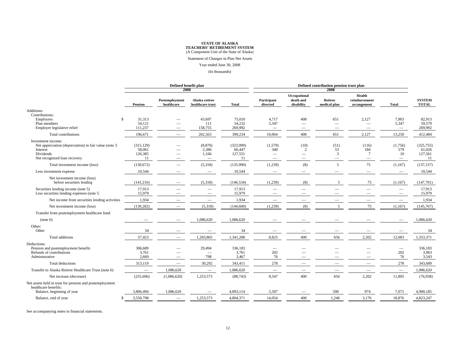Statement of Changes in Plan Net Assets

#### Year ended June 30, 2008

(In thousands)

|                                                                                                                                              | Defined benefit plan<br>2008          |                                 |                                                       |                                      | Defined contribution pension trust plan<br>2008 |                                         |                         |                                                               |                                            |                                       |
|----------------------------------------------------------------------------------------------------------------------------------------------|---------------------------------------|---------------------------------|-------------------------------------------------------|--------------------------------------|-------------------------------------------------|-----------------------------------------|-------------------------|---------------------------------------------------------------|--------------------------------------------|---------------------------------------|
|                                                                                                                                              | Pension                               | Postemployment<br>healthcare    | Alaska retiree<br>healthcare trust                    | Total                                | Participant<br>directed                         | Occupational<br>death and<br>disability | Retiree<br>medical plan | Health<br>reimbursement<br>arrangement                        | <b>Total</b>                               | <b>SYSTEM</b><br><b>TOTAL</b>         |
| Additions:<br>Contributions:                                                                                                                 |                                       |                                 |                                                       |                                      |                                                 |                                         |                         |                                                               |                                            |                                       |
| Employers<br>$\mathbb{S}$<br>Plan members<br>Employer legislative relief                                                                     | 31.313<br>54,121<br>111,237           |                                 | 43,697<br>111<br>158,755                              | 75,010<br>54,232<br>269,992          | 4,717<br>5,347<br>$\overline{\phantom{m}}$      | 408<br>-<br>-                           | 651<br>-                | 2,127<br>$\overline{\phantom{a}}$<br>$\overline{\phantom{a}}$ | 7,903<br>5,347<br>$\overline{\phantom{m}}$ | 82.913<br>59,579<br>269,992           |
| Total contributions                                                                                                                          | 196,671                               |                                 | 202,563                                               | 399,234                              | 10,064                                          | 408                                     | 651                     | 2,127                                                         | 13,250                                     | 412,484                               |
| Investment income:<br>Net appreciation (depreciation) in fair value (note 3)<br>Interest<br><b>Dividends</b><br>Net recognized loan recovery | (315, 129)<br>58,061<br>126,385<br>11 | -                               | (8,870)<br>2,386<br>1,166<br>$\overline{\phantom{a}}$ | (323,999)<br>60,447<br>127,551<br>11 | (1,579)<br>340<br>$\qquad \qquad$               | (10)<br>$\overline{c}$<br>-             | (51)<br>53<br>3<br>-    | (116)<br>184<br>$\overline{7}$<br>$\overline{\phantom{a}}$    | (1,756)<br>579<br>10<br>$\qquad \qquad -$  | (325, 755)<br>61,026<br>127,561<br>11 |
| Total investment income (loss)                                                                                                               | (130,672)                             | $\overline{\phantom{0}}$        | (5,318)                                               | (135,990)                            | (1,239)                                         | (8)                                     | 5                       | 75                                                            | (1,167)                                    | (137, 157)                            |
| Less investment expense                                                                                                                      | 10,544                                |                                 |                                                       | 10,544                               |                                                 |                                         |                         |                                                               | $\qquad \qquad -$                          | 10,544                                |
| Net investment income (loss)<br>before securities lending                                                                                    | (141, 216)                            |                                 | (5,318)                                               | (146, 534)                           | (1,239)                                         | (8)                                     | 5                       | 75                                                            | (1,167)                                    | (147,701)                             |
| Securities lending income (note 5)<br>Less securities lending expenses (note 5)                                                              | 17,913<br>15,979                      |                                 |                                                       | 17,913<br>15,979                     | $\overline{\phantom{0}}$                        |                                         |                         |                                                               | -                                          | 17,913<br>15,979                      |
| Net income from securities lending activities                                                                                                | 1,934                                 |                                 |                                                       | 1,934                                | $\overline{\phantom{0}}$                        |                                         |                         |                                                               |                                            | 1,934                                 |
| Net investment income (loss)                                                                                                                 | (139, 282)                            | -                               | (5,318)                                               | (144, 600)                           | (1,239)                                         | (8)                                     | 5                       | 75                                                            | (1,167)                                    | (145,767)                             |
| Transfer from postemployment healthcare fund                                                                                                 |                                       |                                 |                                                       |                                      |                                                 |                                         |                         |                                                               |                                            |                                       |
| (note 6)                                                                                                                                     |                                       |                                 | 1,086,620                                             | 1,086,620                            |                                                 |                                         |                         |                                                               |                                            | 1,086,620                             |
| Other:<br>Other                                                                                                                              | 34                                    |                                 |                                                       | 34                                   |                                                 |                                         |                         |                                                               |                                            | 34                                    |
| Total additions                                                                                                                              | 57,423                                |                                 | 1,283,865                                             | 1,341,288                            | 8,825                                           | 400                                     | 656                     | 2,202                                                         | 12,083                                     | 1,353,371                             |
| Deductions:<br>Pension and postemployment benefits<br>Refunds of contributions<br>Administrative                                             | 306,689<br>3,761<br>2,669             | -                               | 29,494<br>798                                         | 336,183<br>3,761<br>3,467            | $\overbrace{\qquad \qquad }$<br>202<br>76       | -                                       |                         |                                                               | $\overline{\phantom{m}}$<br>202<br>76      | 336,183<br>3,963<br>3,543             |
| Total deductions                                                                                                                             | 313,119                               | $\hspace{0.1mm}-\hspace{0.1mm}$ | 30,292                                                | 343,411                              | 278                                             |                                         |                         |                                                               | 278                                        | 343,689                               |
| Transfer to Alaska Retiree Healthcare Trust (note 6)                                                                                         | $\overline{\phantom{0}}$              | 1,086,620                       |                                                       | 1,086,620                            | $\overbrace{\qquad \qquad }$                    |                                         |                         |                                                               |                                            | 1,086,620                             |
| Net increase (decrease)                                                                                                                      | (255, 696)                            | (1,086,620)                     | 1,253,573                                             | (88, 743)                            | 8,547                                           | 400                                     | 656                     | 2,202                                                         | 11,805                                     | (76,938)                              |
| Net assets held in trust for pension and postemployment<br>healthcare benefits:                                                              |                                       |                                 |                                                       |                                      |                                                 |                                         |                         |                                                               |                                            |                                       |
| Balance, beginning of year                                                                                                                   | 3,806,494                             | 1,086,620                       |                                                       | 4,893,114                            | 5,507                                           |                                         | 590                     | 974                                                           | 7,071                                      | 4,900,185                             |
| Balance, end of year<br>-\$                                                                                                                  | 3,550,798                             |                                 | 1,253,573                                             | 4,804,371                            | 14,054                                          | 400                                     | 1,246                   | 3,176                                                         | 18,876                                     | 4,823,247                             |

See accompanying notes to financial statements.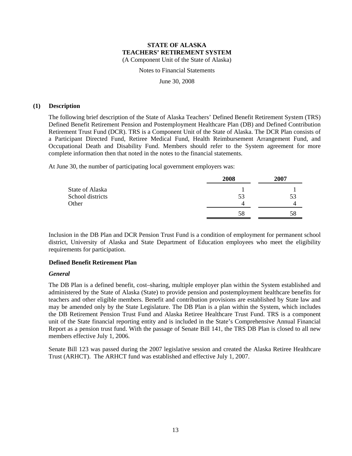Notes to Financial Statements

June 30, 2008

#### **(1) Description**

The following brief description of the State of Alaska Teachers' Defined Benefit Retirement System (TRS) Defined Benefit Retirement Pension and Postemployment Healthcare Plan (DB) and Defined Contribution Retirement Trust Fund (DCR). TRS is a Component Unit of the State of Alaska. The DCR Plan consists of a Participant Directed Fund, Retiree Medical Fund, Health Reimbursement Arrangement Fund, and Occupational Death and Disability Fund. Members should refer to the System agreement for more complete information then that noted in the notes to the financial statements.

At June 30, the number of participating local government employers was:

|                  | 2008 | 2007 |
|------------------|------|------|
| State of Alaska  |      |      |
| School districts | 53   | 53   |
| Other            | 4    |      |
|                  | 58   | 58   |

Inclusion in the DB Plan and DCR Pension Trust Fund is a condition of employment for permanent school district, University of Alaska and State Department of Education employees who meet the eligibility requirements for participation.

## **Defined Benefit Retirement Plan**

## *General*

The DB Plan is a defined benefit, cost–sharing, multiple employer plan within the System established and administered by the State of Alaska (State) to provide pension and postemployment healthcare benefits for teachers and other eligible members. Benefit and contribution provisions are established by State law and may be amended only by the State Legislature. The DB Plan is a plan within the System, which includes the DB Retirement Pension Trust Fund and Alaska Retiree Healthcare Trust Fund. TRS is a component unit of the State financial reporting entity and is included in the State's Comprehensive Annual Financial Report as a pension trust fund. With the passage of Senate Bill 141, the TRS DB Plan is closed to all new members effective July 1, 2006.

Senate Bill 123 was passed during the 2007 legislative session and created the Alaska Retiree Healthcare Trust (ARHCT). The ARHCT fund was established and effective July 1, 2007.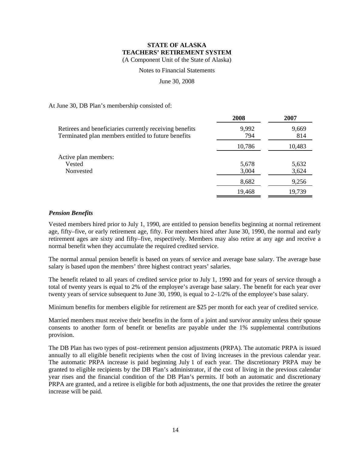Notes to Financial Statements

June 30, 2008

At June 30, DB Plan's membership consisted of:

|                                                                                                                | 2008           | 2007           |
|----------------------------------------------------------------------------------------------------------------|----------------|----------------|
| Retirees and beneficiaries currently receiving benefits<br>Terminated plan members entitled to future benefits | 9,992<br>794   | 9,669<br>814   |
|                                                                                                                | 10,786         | 10,483         |
| Active plan members:<br>Vested<br>Nonvested                                                                    | 5,678<br>3,004 | 5,632<br>3,624 |
|                                                                                                                | 8,682          | 9,256          |
|                                                                                                                | 19,468         | 19,739         |

## *Pension Benefits*

Vested members hired prior to July 1, 1990, are entitled to pension benefits beginning at normal retirement age, fifty–five, or early retirement age, fifty. For members hired after June 30, 1990, the normal and early retirement ages are sixty and fifty–five, respectively. Members may also retire at any age and receive a normal benefit when they accumulate the required credited service.

The normal annual pension benefit is based on years of service and average base salary. The average base salary is based upon the members' three highest contract years' salaries.

The benefit related to all years of credited service prior to July 1, 1990 and for years of service through a total of twenty years is equal to 2% of the employee's average base salary. The benefit for each year over twenty years of service subsequent to June 30, 1990, is equal to 2–1/2% of the employee's base salary.

Minimum benefits for members eligible for retirement are \$25 per month for each year of credited service.

Married members must receive their benefits in the form of a joint and survivor annuity unless their spouse consents to another form of benefit or benefits are payable under the 1% supplemental contributions provision.

The DB Plan has two types of post–retirement pension adjustments (PRPA). The automatic PRPA is issued annually to all eligible benefit recipients when the cost of living increases in the previous calendar year. The automatic PRPA increase is paid beginning July 1 of each year. The discretionary PRPA may be granted to eligible recipients by the DB Plan's administrator, if the cost of living in the previous calendar year rises and the financial condition of the DB Plan's permits. If both an automatic and discretionary PRPA are granted, and a retiree is eligible for both adjustments, the one that provides the retiree the greater increase will be paid.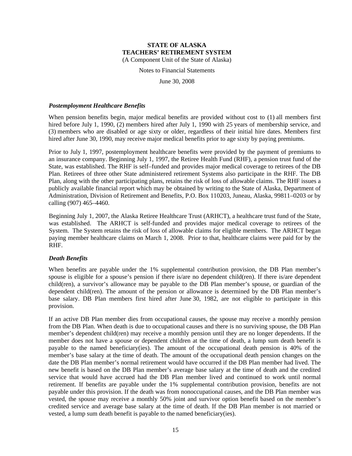Notes to Financial Statements

June 30, 2008

#### *Postemployment Healthcare Benefits*

When pension benefits begin, major medical benefits are provided without cost to (1) all members first hired before July 1, 1990, (2) members hired after July 1, 1990 with 25 years of membership service, and (3) members who are disabled or age sixty or older, regardless of their initial hire dates. Members first hired after June 30, 1990, may receive major medical benefits prior to age sixty by paying premiums.

Prior to July 1, 1997, postemployment healthcare benefits were provided by the payment of premiums to an insurance company. Beginning July 1, 1997, the Retiree Health Fund (RHF), a pension trust fund of the State, was established. The RHF is self–funded and provides major medical coverage to retirees of the DB Plan. Retirees of three other State administered retirement Systems also participate in the RHF. The DB Plan, along with the other participating plans, retains the risk of loss of allowable claims. The RHF issues a publicly available financial report which may be obtained by writing to the State of Alaska, Department of Administration, Division of Retirement and Benefits, P.O. Box 110203, Juneau, Alaska, 99811–0203 or by calling (907) 465–4460.

Beginning July 1, 2007, the Alaska Retiree Healthcare Trust (ARHCT), a healthcare trust fund of the State, was established. The ARHCT is self-funded and provides major medical coverage to retirees of the System. The System retains the risk of loss of allowable claims for eligible members. The ARHCT began paying member healthcare claims on March 1, 2008. Prior to that, healthcare claims were paid for by the RHF.

## *Death Benefits*

When benefits are payable under the 1% supplemental contribution provision, the DB Plan member's spouse is eligible for a spouse's pension if there is/are no dependent child(ren). If there is/are dependent child(ren), a survivor's allowance may be payable to the DB Plan member's spouse, or guardian of the dependent child(ren). The amount of the pension or allowance is determined by the DB Plan member's base salary. DB Plan members first hired after June 30, 1982, are not eligible to participate in this provision.

If an active DB Plan member dies from occupational causes, the spouse may receive a monthly pension from the DB Plan. When death is due to occupational causes and there is no surviving spouse, the DB Plan member's dependent child(ren) may receive a monthly pension until they are no longer dependents. If the member does not have a spouse or dependent children at the time of death, a lump sum death benefit is payable to the named beneficiary(ies). The amount of the occupational death pension is 40% of the member's base salary at the time of death. The amount of the occupational death pension changes on the date the DB Plan member's normal retirement would have occurred if the DB Plan member had lived. The new benefit is based on the DB Plan member's average base salary at the time of death and the credited service that would have accrued had the DB Plan member lived and continued to work until normal retirement. If benefits are payable under the 1% supplemental contribution provision, benefits are not payable under this provision. If the death was from nonoccupational causes, and the DB Plan member was vested, the spouse may receive a monthly 50% joint and survivor option benefit based on the member's credited service and average base salary at the time of death. If the DB Plan member is not married or vested, a lump sum death benefit is payable to the named beneficiary(ies).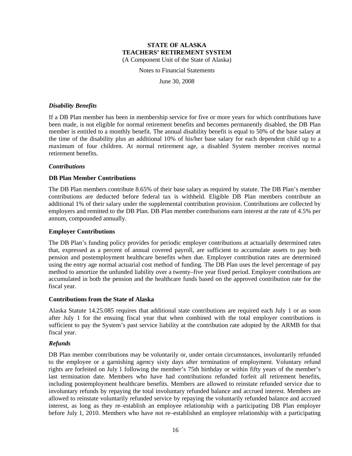Notes to Financial Statements

June 30, 2008

#### *Disability Benefits*

If a DB Plan member has been in membership service for five or more years for which contributions have been made, is not eligible for normal retirement benefits and becomes permanently disabled, the DB Plan member is entitled to a monthly benefit. The annual disability benefit is equal to 50% of the base salary at the time of the disability plus an additional 10% of his/her base salary for each dependent child up to a maximum of four children. At normal retirement age, a disabled System member receives normal retirement benefits.

## *Contributions*

#### **DB Plan Member Contributions**

The DB Plan members contribute 8.65% of their base salary as required by statute. The DB Plan's member contributions are deducted before federal tax is withheld. Eligible DB Plan members contribute an additional 1% of their salary under the supplemental contribution provision. Contributions are collected by employers and remitted to the DB Plan. DB Plan member contributions earn interest at the rate of 4.5% per annum, compounded annually.

#### **Employer Contributions**

The DB Plan's funding policy provides for periodic employer contributions at actuarially determined rates that, expressed as a percent of annual covered payroll, are sufficient to accumulate assets to pay both pension and postemployment healthcare benefits when due. Employer contribution rates are determined using the entry age normal actuarial cost method of funding. The DB Plan uses the level percentage of pay method to amortize the unfunded liability over a twenty–five year fixed period. Employer contributions are accumulated in both the pension and the healthcare funds based on the approved contribution rate for the fiscal year.

#### **Contributions from the State of Alaska**

Alaska Statute 14.25.085 requires that additional state contributions are required each July 1 or as soon after July 1 for the ensuing fiscal year that when combined with the total employer contributions is sufficient to pay the System's past service liability at the contribution rate adopted by the ARMB for that fiscal year.

#### *Refunds*

DB Plan member contributions may be voluntarily or, under certain circumstances, involuntarily refunded to the employee or a garnishing agency sixty days after termination of employment. Voluntary refund rights are forfeited on July 1 following the member's 75th birthday or within fifty years of the member's last termination date. Members who have had contributions refunded forfeit all retirement benefits, including postemployment healthcare benefits. Members are allowed to reinstate refunded service due to involuntary refunds by repaying the total involuntary refunded balance and accrued interest. Members are allowed to reinstate voluntarily refunded service by repaying the voluntarily refunded balance and accrued interest, as long as they re–establish an employee relationship with a participating DB Plan employer before July 1, 2010. Members who have not re–established an employee relationship with a participating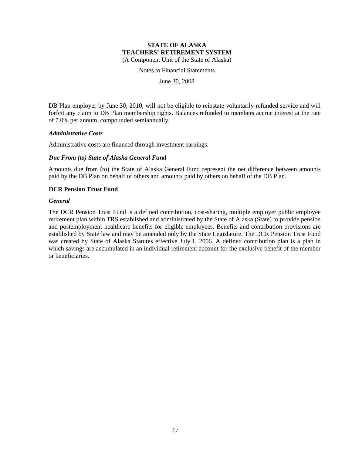Notes to Financial Statements

June 30, 2008

DB Plan employer by June 30, 2010, will not be eligible to reinstate voluntarily refunded service and will forfeit any claim to DB Plan membership rights. Balances refunded to members accrue interest at the rate of 7.0% per annum, compounded semiannually.

#### *Administrative Costs*

Administrative costs are financed through investment earnings.

#### *Due From (to) State of Alaska General Fund*

Amounts due from (to) the State of Alaska General Fund represent the net difference between amounts paid by the DB Plan on behalf of others and amounts paid by others on behalf of the DB Plan.

#### **DCR Pension Trust Fund**

#### *General*

The DCR Pension Trust Fund is a defined contribution, cost-sharing, multiple employer public employee retirement plan within TRS established and administrated by the State of Alaska (State) to provide pension and postemployment healthcare benefits for eligible employees. Benefits and contribution provisions are established by State law and may be amended only by the State Legislature. The DCR Pension Trust Fund was created by State of Alaska Statutes effective July 1, 2006. A defined contribution plan is a plan in which savings are accumulated in an individual retirement account for the exclusive benefit of the member or beneficiaries.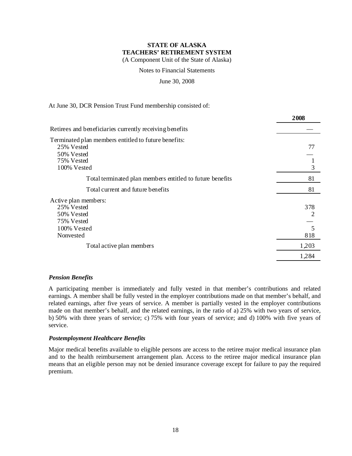Notes to Financial Statements

#### June 30, 2008

#### At June 30, DCR Pension Trust Fund membership consisted of:

|                                                           | 400ò  |
|-----------------------------------------------------------|-------|
| Retirees and beneficiaries currently receiving benefits   |       |
| Terminated plan members entitled to future benefits:      |       |
| 25% Vested                                                | 77    |
| 50% Vested                                                |       |
| 75% Vested                                                |       |
| 100% Vested                                               | 3     |
| Total terminated plan members entitled to future benefits | 81    |
| Total current and future benefits                         | 81    |
| Active plan members:                                      |       |
| 25% Vested                                                | 378   |
| 50% Vested                                                | 2     |
| 75% Vested                                                |       |
| 100% Vested                                               | 5     |
| Nonvested                                                 | 818   |
| Total active plan members                                 | 1,203 |
|                                                           | 1,284 |

**2008**

#### *Pension Benefits*

A participating member is immediately and fully vested in that member's contributions and related earnings. A member shall be fully vested in the employer contributions made on that member's behalf, and related earnings, after five years of service. A member is partially vested in the employer contributions made on that member's behalf, and the related earnings, in the ratio of a) 25% with two years of service, b) 50% with three years of service; c) 75% with four years of service; and d) 100% with five years of service.

#### *Postemployment Healthcare Benefits*

Major medical benefits available to eligible persons are access to the retiree major medical insurance plan and to the health reimbursement arrangement plan. Access to the retiree major medical insurance plan means that an eligible person may not be denied insurance coverage except for failure to pay the required premium.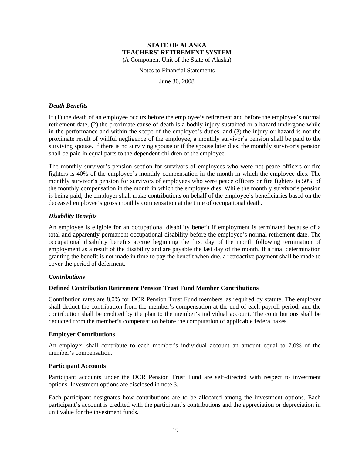Notes to Financial Statements

June 30, 2008

#### *Death Benefits*

If (1) the death of an employee occurs before the employee's retirement and before the employee's normal retirement date, (2) the proximate cause of death is a bodily injury sustained or a hazard undergone while in the performance and within the scope of the employee's duties, and (3) the injury or hazard is not the proximate result of willful negligence of the employee, a monthly survivor's pension shall be paid to the surviving spouse. If there is no surviving spouse or if the spouse later dies, the monthly survivor's pension shall be paid in equal parts to the dependent children of the employee.

The monthly survivor's pension section for survivors of employees who were not peace officers or fire fighters is 40% of the employee's monthly compensation in the month in which the employee dies. The monthly survivor's pension for survivors of employees who were peace officers or fire fighters is 50% of the monthly compensation in the month in which the employee dies. While the monthly survivor's pension is being paid, the employer shall make contributions on behalf of the employee's beneficiaries based on the deceased employee's gross monthly compensation at the time of occupational death.

#### *Disability Benefits*

An employee is eligible for an occupational disability benefit if employment is terminated because of a total and apparently permanent occupational disability before the employee's normal retirement date. The occupational disability benefits accrue beginning the first day of the month following termination of employment as a result of the disability and are payable the last day of the month. If a final determination granting the benefit is not made in time to pay the benefit when due, a retroactive payment shall be made to cover the period of deferment.

## *Contributions*

## **Defined Contribution Retirement Pension Trust Fund Member Contributions**

Contribution rates are 8.0% for DCR Pension Trust Fund members, as required by statute. The employer shall deduct the contribution from the member's compensation at the end of each payroll period, and the contribution shall be credited by the plan to the member's individual account. The contributions shall be deducted from the member's compensation before the computation of applicable federal taxes.

#### **Employer Contributions**

An employer shall contribute to each member's individual account an amount equal to 7.0% of the member's compensation.

#### **Participant Accounts**

Participant accounts under the DCR Pension Trust Fund are self-directed with respect to investment options. Investment options are disclosed in note 3.

Each participant designates how contributions are to be allocated among the investment options. Each participant's account is credited with the participant's contributions and the appreciation or depreciation in unit value for the investment funds.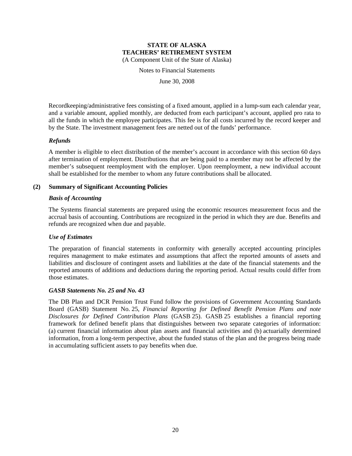Notes to Financial Statements

June 30, 2008

Recordkeeping/administrative fees consisting of a fixed amount, applied in a lump-sum each calendar year, and a variable amount, applied monthly, are deducted from each participant's account, applied pro rata to all the funds in which the employee participates. This fee is for all costs incurred by the record keeper and by the State. The investment management fees are netted out of the funds' performance.

## *Refunds*

A member is eligible to elect distribution of the member's account in accordance with this section 60 days after termination of employment. Distributions that are being paid to a member may not be affected by the member's subsequent reemployment with the employer. Upon reemployment, a new individual account shall be established for the member to whom any future contributions shall be allocated.

#### **(2) Summary of Significant Accounting Policies**

#### *Basis of Accounting*

The Systems financial statements are prepared using the economic resources measurement focus and the accrual basis of accounting. Contributions are recognized in the period in which they are due. Benefits and refunds are recognized when due and payable.

#### *Use of Estimates*

The preparation of financial statements in conformity with generally accepted accounting principles requires management to make estimates and assumptions that affect the reported amounts of assets and liabilities and disclosure of contingent assets and liabilities at the date of the financial statements and the reported amounts of additions and deductions during the reporting period. Actual results could differ from those estimates.

#### *GASB Statements No. 25 and No. 43*

The DB Plan and DCR Pension Trust Fund follow the provisions of Government Accounting Standards Board (GASB) Statement No. 25, *Financial Reporting for Defined Benefit Pension Plans and note Disclosures for Defined Contribution Plans* (GASB 25). GASB 25 establishes a financial reporting framework for defined benefit plans that distinguishes between two separate categories of information: (a) current financial information about plan assets and financial activities and (b) actuarially determined information, from a long-term perspective, about the funded status of the plan and the progress being made in accumulating sufficient assets to pay benefits when due.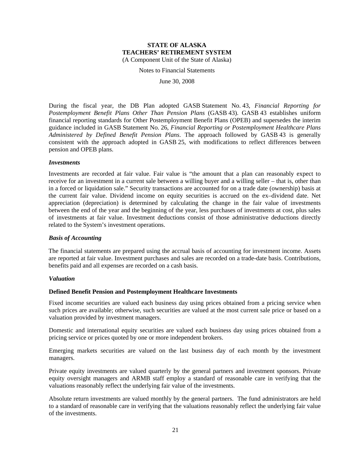Notes to Financial Statements

June 30, 2008

During the fiscal year, the DB Plan adopted GASB Statement No. 43, *Financial Reporting for Postemployment Benefit Plans Other Than Pension Plans* (GASB 43). GASB 43 establishes uniform financial reporting standards for Other Postemployment Benefit Plans (OPEB) and supersedes the interim guidance included in GASB Statement No. 26, *Financial Reporting or Postemployment Healthcare Plans Administered by Defined Benefit Pension Plans*. The approach followed by GASB 43 is generally consistent with the approach adopted in GASB 25, with modifications to reflect differences between pension and OPEB plans.

#### *Investments*

Investments are recorded at fair value. Fair value is "the amount that a plan can reasonably expect to receive for an investment in a current sale between a willing buyer and a willing seller – that is, other than in a forced or liquidation sale." Security transactions are accounted for on a trade date (ownership) basis at the current fair value. Dividend income on equity securities is accrued on the ex–dividend date. Net appreciation (depreciation) is determined by calculating the change in the fair value of investments between the end of the year and the beginning of the year, less purchases of investments at cost, plus sales of investments at fair value. Investment deductions consist of those administrative deductions directly related to the System's investment operations.

#### *Basis of Accounting*

The financial statements are prepared using the accrual basis of accounting for investment income. Assets are reported at fair value. Investment purchases and sales are recorded on a trade-date basis. Contributions, benefits paid and all expenses are recorded on a cash basis.

#### *Valuation*

## **Defined Benefit Pension and Postemployment Healthcare Investments**

Fixed income securities are valued each business day using prices obtained from a pricing service when such prices are available; otherwise, such securities are valued at the most current sale price or based on a valuation provided by investment managers.

Domestic and international equity securities are valued each business day using prices obtained from a pricing service or prices quoted by one or more independent brokers.

Emerging markets securities are valued on the last business day of each month by the investment managers.

Private equity investments are valued quarterly by the general partners and investment sponsors. Private equity oversight managers and ARMB staff employ a standard of reasonable care in verifying that the valuations reasonably reflect the underlying fair value of the investments.

Absolute return investments are valued monthly by the general partners. The fund administrators are held to a standard of reasonable care in verifying that the valuations reasonably reflect the underlying fair value of the investments.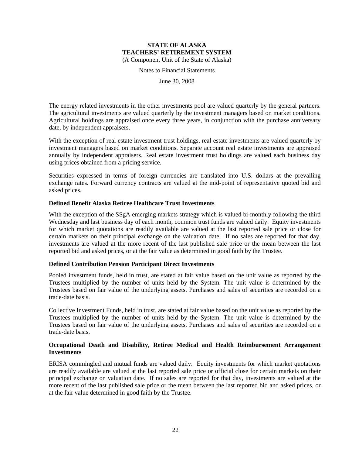Notes to Financial Statements

June 30, 2008

The energy related investments in the other investments pool are valued quarterly by the general partners. The agricultural investments are valued quarterly by the investment managers based on market conditions. Agricultural holdings are appraised once every three years, in conjunction with the purchase anniversary date, by independent appraisers.

With the exception of real estate investment trust holdings, real estate investments are valued quarterly by investment managers based on market conditions. Separate account real estate investments are appraised annually by independent appraisers. Real estate investment trust holdings are valued each business day using prices obtained from a pricing service.

Securities expressed in terms of foreign currencies are translated into U.S. dollars at the prevailing exchange rates. Forward currency contracts are valued at the mid-point of representative quoted bid and asked prices.

#### **Defined Benefit Alaska Retiree Healthcare Trust Investments**

With the exception of the SSgA emerging markets strategy which is valued bi-monthly following the third Wednesday and last business day of each month, common trust funds are valued daily. Equity investments for which market quotations are readily available are valued at the last reported sale price or close for certain markets on their principal exchange on the valuation date. If no sales are reported for that day, investments are valued at the more recent of the last published sale price or the mean between the last reported bid and asked prices, or at the fair value as determined in good faith by the Trustee.

#### **Defined Contribution Pension Participant Direct Investments**

Pooled investment funds, held in trust, are stated at fair value based on the unit value as reported by the Trustees multiplied by the number of units held by the System. The unit value is determined by the Trustees based on fair value of the underlying assets. Purchases and sales of securities are recorded on a trade-date basis.

Collective Investment Funds, held in trust, are stated at fair value based on the unit value as reported by the Trustees multiplied by the number of units held by the System. The unit value is determined by the Trustees based on fair value of the underlying assets. Purchases and sales of securities are recorded on a trade-date basis.

## **Occupational Death and Disability, Retiree Medical and Health Reimbursement Arrangement Investments**

ERISA commingled and mutual funds are valued daily. Equity investments for which market quotations are readily available are valued at the last reported sale price or official close for certain markets on their principal exchange on valuation date. If no sales are reported for that day, investments are valued at the more recent of the last published sale price or the mean between the last reported bid and asked prices, or at the fair value determined in good faith by the Trustee.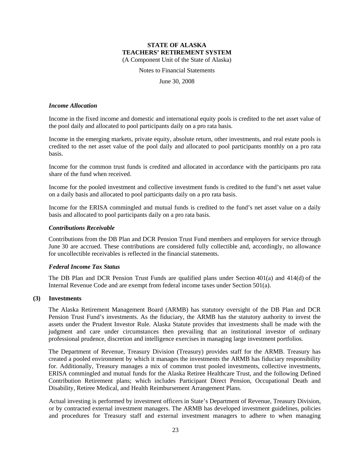Notes to Financial Statements

June 30, 2008

#### *Income Allocation*

Income in the fixed income and domestic and international equity pools is credited to the net asset value of the pool daily and allocated to pool participants daily on a pro rata basis.

Income in the emerging markets, private equity, absolute return, other investments, and real estate pools is credited to the net asset value of the pool daily and allocated to pool participants monthly on a pro rata basis.

Income for the common trust funds is credited and allocated in accordance with the participants pro rata share of the fund when received.

Income for the pooled investment and collective investment funds is credited to the fund's net asset value on a daily basis and allocated to pool participants daily on a pro rata basis.

Income for the ERISA commingled and mutual funds is credited to the fund's net asset value on a daily basis and allocated to pool participants daily on a pro rata basis.

#### *Contributions Receivable*

Contributions from the DB Plan and DCR Pension Trust Fund members and employers for service through June 30 are accrued. These contributions are considered fully collectible and, accordingly, no allowance for uncollectible receivables is reflected in the financial statements.

#### *Federal Income Tax Status*

The DB Plan and DCR Pension Trust Funds are qualified plans under Section 401(a) and 414(d) of the Internal Revenue Code and are exempt from federal income taxes under Section 501(a).

#### **(3) Investments**

The Alaska Retirement Management Board (ARMB) has statutory oversight of the DB Plan and DCR Pension Trust Fund's investments. As the fiduciary, the ARMB has the statutory authority to invest the assets under the Prudent Investor Rule. Alaska Statute provides that investments shall be made with the judgment and care under circumstances then prevailing that an institutional investor of ordinary professional prudence, discretion and intelligence exercises in managing large investment portfolios.

The Department of Revenue, Treasury Division (Treasury) provides staff for the ARMB. Treasury has created a pooled environment by which it manages the investments the ARMB has fiduciary responsibility for. Additionally, Treasury manages a mix of common trust pooled investments, collective investments, ERISA commingled and mutual funds for the Alaska Retiree Healthcare Trust, and the following Defined Contribution Retirement plans; which includes Participant Direct Pension, Occupational Death and Disability, Retiree Medical, and Health Reimbursement Arrangement Plans.

Actual investing is performed by investment officers in State's Department of Revenue, Treasury Division, or by contracted external investment managers. The ARMB has developed investment guidelines, policies and procedures for Treasury staff and external investment managers to adhere to when managing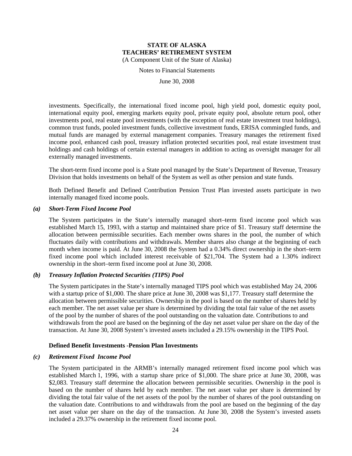Notes to Financial Statements

June 30, 2008

investments. Specifically, the international fixed income pool, high yield pool, domestic equity pool, international equity pool, emerging markets equity pool, private equity pool, absolute return pool, other investments pool, real estate pool investments (with the exception of real estate investment trust holdings), common trust funds, pooled investment funds, collective investment funds, ERISA commingled funds, and mutual funds are managed by external management companies. Treasury manages the retirement fixed income pool, enhanced cash pool, treasury inflation protected securities pool, real estate investment trust holdings and cash holdings of certain external managers in addition to acting as oversight manager for all externally managed investments.

The short-term fixed income pool is a State pool managed by the State's Department of Revenue, Treasury Division that holds investments on behalf of the System as well as other pension and state funds.

Both Defined Benefit and Defined Contribution Pension Trust Plan invested assets participate in two internally managed fixed income pools.

#### *(a) Short-Term Fixed Income Pool*

The System participates in the State's internally managed short–term fixed income pool which was established March 15, 1993, with a startup and maintained share price of \$1. Treasury staff determine the allocation between permissible securities. Each member owns shares in the pool, the number of which fluctuates daily with contributions and withdrawals. Member shares also change at the beginning of each month when income is paid. At June 30, 2008 the System had a 0.34% direct ownership in the short–term fixed income pool which included interest receivable of \$21,704. The System had a 1.30% indirect ownership in the short–term fixed income pool at June 30, 2008.

## *(b) Treasury Inflation Protected Securities (TIPS) Pool*

The System participates in the State's internally managed TIPS pool which was established May 24, 2006 with a startup price of \$1,000. The share price at June 30, 2008 was \$1,177. Treasury staff determine the allocation between permissible securities. Ownership in the pool is based on the number of shares held by each member. The net asset value per share is determined by dividing the total fair value of the net assets of the pool by the number of shares of the pool outstanding on the valuation date. Contributions to and withdrawals from the pool are based on the beginning of the day net asset value per share on the day of the transaction. At June 30, 2008 System's invested assets included a 29.15% ownership in the TIPS Pool.

#### **Defined Benefit Investments -Pension Plan Investments**

#### *(c) Retirement Fixed Income Pool*

The System participated in the ARMB's internally managed retirement fixed income pool which was established March 1, 1996, with a startup share price of \$1,000. The share price at June 30, 2008, was \$2,083. Treasury staff determine the allocation between permissible securities. Ownership in the pool is based on the number of shares held by each member. The net asset value per share is determined by dividing the total fair value of the net assets of the pool by the number of shares of the pool outstanding on the valuation date. Contributions to and withdrawals from the pool are based on the beginning of the day net asset value per share on the day of the transaction. At June 30, 2008 the System's invested assets included a 29.37% ownership in the retirement fixed income pool.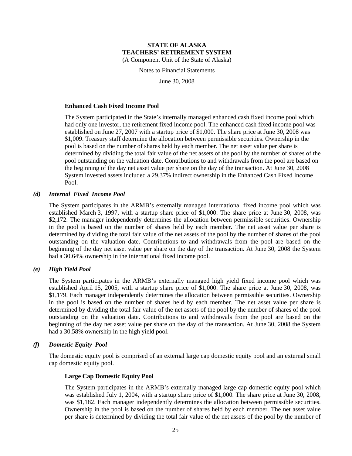Notes to Financial Statements

June 30, 2008

#### **Enhanced Cash Fixed Income Pool**

The System participated in the State's internally managed enhanced cash fixed income pool which had only one investor, the retirement fixed income pool. The enhanced cash fixed income pool was established on June 27, 2007 with a startup price of \$1,000. The share price at June 30, 2008 was \$1,009. Treasury staff determine the allocation between permissible securities. Ownership in the pool is based on the number of shares held by each member. The net asset value per share is determined by dividing the total fair value of the net assets of the pool by the number of shares of the pool outstanding on the valuation date. Contributions to and withdrawals from the pool are based on the beginning of the day net asset value per share on the day of the transaction. At June 30, 2008 System invested assets included a 29.37% indirect ownership in the Enhanced Cash Fixed Income Pool.

#### *(d) Internal Fixed Income Pool*

The System participates in the ARMB's externally managed international fixed income pool which was established March 3, 1997, with a startup share price of \$1,000. The share price at June 30, 2008, was \$2,172. The manager independently determines the allocation between permissible securities. Ownership in the pool is based on the number of shares held by each member. The net asset value per share is determined by dividing the total fair value of the net assets of the pool by the number of shares of the pool outstanding on the valuation date. Contributions to and withdrawals from the pool are based on the beginning of the day net asset value per share on the day of the transaction. At June 30, 2008 the System had a 30.64% ownership in the international fixed income pool.

#### *(e) High Yield Pool*

The System participates in the ARMB's externally managed high yield fixed income pool which was established April 15, 2005, with a startup share price of \$1,000. The share price at June 30, 2008, was \$1,179. Each manager independently determines the allocation between permissible securities. Ownership in the pool is based on the number of shares held by each member. The net asset value per share is determined by dividing the total fair value of the net assets of the pool by the number of shares of the pool outstanding on the valuation date. Contributions to and withdrawals from the pool are based on the beginning of the day net asset value per share on the day of the transaction. At June 30, 2008 the System had a 30.58% ownership in the high yield pool.

#### *(f) Domestic Equity Pool*

The domestic equity pool is comprised of an external large cap domestic equity pool and an external small cap domestic equity pool.

#### **Large Cap Domestic Equity Pool**

The System participates in the ARMB's externally managed large cap domestic equity pool which was established July 1, 2004, with a startup share price of \$1,000. The share price at June 30, 2008, was \$1,182. Each manager independently determines the allocation between permissible securities. Ownership in the pool is based on the number of shares held by each member. The net asset value per share is determined by dividing the total fair value of the net assets of the pool by the number of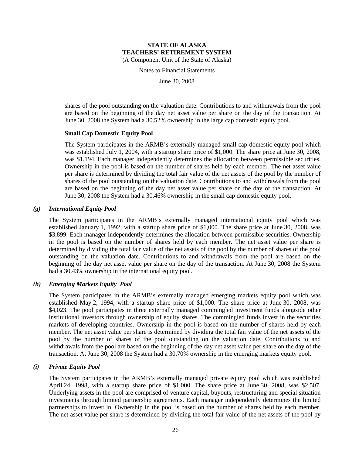Notes to Financial Statements

June 30, 2008

shares of the pool outstanding on the valuation date. Contributions to and withdrawals from the pool are based on the beginning of the day net asset value per share on the day of the transaction. At June 30, 2008 the System had a 30.52% ownership in the large cap domestic equity pool.

#### **Small Cap Domestic Equity Pool**

The System participates in the ARMB's externally managed small cap domestic equity pool which was established July 1, 2004, with a startup share price of \$1,000. The share price at June 30, 2008, was \$1,194. Each manager independently determines the allocation between permissible securities. Ownership in the pool is based on the number of shares held by each member. The net asset value per share is determined by dividing the total fair value of the net assets of the pool by the number of shares of the pool outstanding on the valuation date. Contributions to and withdrawals from the pool are based on the beginning of the day net asset value per share on the day of the transaction. At June 30, 2008 the System had a 30.46% ownership in the small cap domestic equity pool.

#### *(g) International Equity Pool*

The System participates in the ARMB's externally managed international equity pool which was established January 1, 1992, with a startup share price of \$1,000. The share price at June 30, 2008, was \$3,899. Each manager independently determines the allocation between permissible securities. Ownership in the pool is based on the number of shares held by each member. The net asset value per share is determined by dividing the total fair value of the net assets of the pool by the number of shares of the pool outstanding on the valuation date. Contributions to and withdrawals from the pool are based on the beginning of the day net asset value per share on the day of the transaction. At June 30, 2008 the System had a 30.43% ownership in the international equity pool.

#### *(h) Emerging Markets Equity Pool*

The System participates in the ARMB's externally managed emerging markets equity pool which was established May 2, 1994, with a startup share price of \$1,000. The share price at June 30, 2008, was \$4,023. The pool participates in three externally managed commingled investment funds alongside other institutional investors through ownership of equity shares. The commingled funds invest in the securities markets of developing countries. Ownership in the pool is based on the number of shares held by each member. The net asset value per share is determined by dividing the total fair value of the net assets of the pool by the number of shares of the pool outstanding on the valuation date. Contributions to and withdrawals from the pool are based on the beginning of the day net asset value per share on the day of the transaction. At June 30, 2008 the System had a 30.70% ownership in the emerging markets equity pool.

## *(i) Private Equity Pool*

The System participates in the ARMB's externally managed private equity pool which was established April 24, 1998, with a startup share price of \$1,000. The share price at June 30, 2008, was \$2,507. Underlying assets in the pool are comprised of venture capital, buyouts, restructuring and special situation investments through limited partnership agreements. Each manager independently determines the limited partnerships to invest in. Ownership in the pool is based on the number of shares held by each member. The net asset value per share is determined by dividing the total fair value of the net assets of the pool by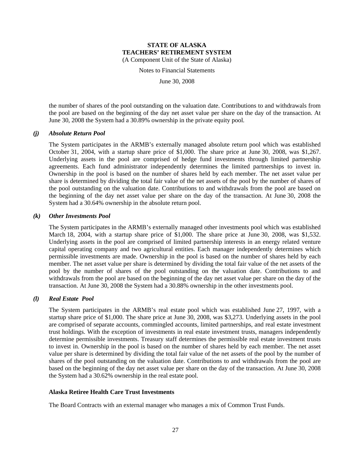Notes to Financial Statements

June 30, 2008

the number of shares of the pool outstanding on the valuation date. Contributions to and withdrawals from the pool are based on the beginning of the day net asset value per share on the day of the transaction. At June 30, 2008 the System had a 30.89% ownership in the private equity pool.

#### *(j) Absolute Return Pool*

The System participates in the ARMB's externally managed absolute return pool which was established October 31, 2004, with a startup share price of \$1,000. The share price at June 30, 2008, was \$1,267. Underlying assets in the pool are comprised of hedge fund investments through limited partnership agreements. Each fund administrator independently determines the limited partnerships to invest in. Ownership in the pool is based on the number of shares held by each member. The net asset value per share is determined by dividing the total fair value of the net assets of the pool by the number of shares of the pool outstanding on the valuation date. Contributions to and withdrawals from the pool are based on the beginning of the day net asset value per share on the day of the transaction. At June 30, 2008 the System had a 30.64% ownership in the absolute return pool.

#### *(k) Other Investments Pool*

The System participates in the ARMB's externally managed other investments pool which was established March 18, 2004, with a startup share price of \$1,000. The share price at June 30, 2008, was \$1,532. Underlying assets in the pool are comprised of limited partnership interests in an energy related venture capital operating company and two agricultural entities. Each manager independently determines which permissible investments are made. Ownership in the pool is based on the number of shares held by each member. The net asset value per share is determined by dividing the total fair value of the net assets of the pool by the number of shares of the pool outstanding on the valuation date. Contributions to and withdrawals from the pool are based on the beginning of the day net asset value per share on the day of the transaction. At June 30, 2008 the System had a 30.88% ownership in the other investments pool.

#### *(l) Real Estate Pool*

The System participates in the ARMB's real estate pool which was established June 27, 1997, with a startup share price of \$1,000. The share price at June 30, 2008, was \$3,273. Underlying assets in the pool are comprised of separate accounts, commingled accounts, limited partnerships, and real estate investment trust holdings. With the exception of investments in real estate investment trusts, managers independently determine permissible investments. Treasury staff determines the permissible real estate investment trusts to invest in. Ownership in the pool is based on the number of shares held by each member. The net asset value per share is determined by dividing the total fair value of the net assets of the pool by the number of shares of the pool outstanding on the valuation date. Contributions to and withdrawals from the pool are based on the beginning of the day net asset value per share on the day of the transaction. At June 30, 2008 the System had a 30.62% ownership in the real estate pool.

#### **Alaska Retiree Health Care Trust Investments**

The Board Contracts with an external manager who manages a mix of Common Trust Funds.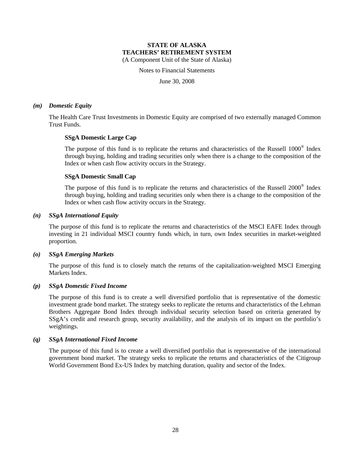Notes to Financial Statements

June 30, 2008

#### *(m) Domestic Equity*

The Health Care Trust Investments in Domestic Equity are comprised of two externally managed Common Trust Funds.

#### **SSgA Domestic Large Cap**

The purpose of this fund is to replicate the returns and characteristics of the Russell 1000<sup>®</sup> Index through buying, holding and trading securities only when there is a change to the composition of the Index or when cash flow activity occurs in the Strategy.

#### **SSgA Domestic Small Cap**

The purpose of this fund is to replicate the returns and characteristics of the Russell 2000® Index through buying, holding and trading securities only when there is a change to the composition of the Index or when cash flow activity occurs in the Strategy.

#### *(n) SSgA International Equity*

The purpose of this fund is to replicate the returns and characteristics of the MSCI EAFE Index through investing in 21 individual MSCI country funds which, in turn, own Index securities in market-weighted proportion.

#### *(o) SSgA Emerging Markets*

The purpose of this fund is to closely match the returns of the capitalization-weighted MSCI Emerging Markets Index.

#### *(p) SSgA Domestic Fixed Income*

The purpose of this fund is to create a well diversified portfolio that is representative of the domestic investment grade bond market. The strategy seeks to replicate the returns and characteristics of the Lehman Brothers Aggregate Bond Index through individual security selection based on criteria generated by SSgA's credit and research group, security availability, and the analysis of its impact on the portfolio's weightings.

## *(q) SSgA International Fixed Income*

The purpose of this fund is to create a well diversified portfolio that is representative of the international government bond market. The strategy seeks to replicate the returns and characteristics of the Citigroup World Government Bond Ex-US Index by matching duration, quality and sector of the Index.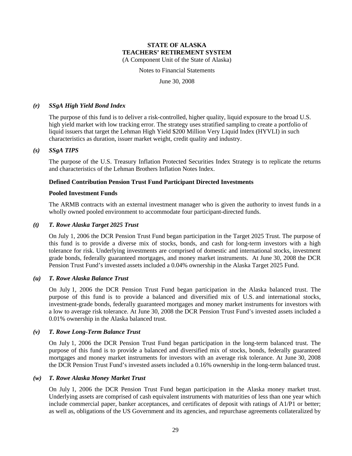Notes to Financial Statements

June 30, 2008

#### *(r) SSgA High Yield Bond Index*

The purpose of this fund is to deliver a risk-controlled, higher quality, liquid exposure to the broad U.S. high yield market with low tracking error. The strategy uses stratified sampling to create a portfolio of liquid issuers that target the Lehman High Yield \$200 Million Very Liquid Index (HYVLI) in such characteristics as duration, issuer market weight, credit quality and industry.

#### *(s) SSgA TIPS*

The purpose of the U.S. Treasury Inflation Protected Securities Index Strategy is to replicate the returns and characteristics of the Lehman Brothers Inflation Notes Index.

#### **Defined Contribution Pension Trust Fund Participant Directed Investments**

#### **Pooled Investment Funds**

The ARMB contracts with an external investment manager who is given the authority to invest funds in a wholly owned pooled environment to accommodate four participant-directed funds.

#### *(t) T. Rowe Alaska Target 2025 Trust*

On July 1, 2006 the DCR Pension Trust Fund began participation in the Target 2025 Trust. The purpose of this fund is to provide a diverse mix of stocks, bonds, and cash for long-term investors with a high tolerance for risk. Underlying investments are comprised of domestic and international stocks, investment grade bonds, federally guaranteed mortgages, and money market instruments. At June 30, 2008 the DCR Pension Trust Fund's invested assets included a 0.04% ownership in the Alaska Target 2025 Fund.

#### *(u) T. Rowe Alaska Balance Trust*

On July 1, 2006 the DCR Pension Trust Fund began participation in the Alaska balanced trust. The purpose of this fund is to provide a balanced and diversified mix of U.S. and international stocks, investment-grade bonds, federally guaranteed mortgages and money market instruments for investors with a low to average risk tolerance. At June 30, 2008 the DCR Pension Trust Fund's invested assets included a 0.01% ownership in the Alaska balanced trust.

#### *(v) T. Rowe Long-Term Balance Trust*

On July 1, 2006 the DCR Pension Trust Fund began participation in the long-term balanced trust. The purpose of this fund is to provide a balanced and diversified mix of stocks, bonds, federally guaranteed mortgages and money market instruments for investors with an average risk tolerance. At June 30, 2008 the DCR Pension Trust Fund's invested assets included a 0.16% ownership in the long-term balanced trust.

## *(w) T. Rowe Alaska Money Market Trust*

On July 1, 2006 the DCR Pension Trust Fund began participation in the Alaska money market trust. Underlying assets are comprised of cash equivalent instruments with maturities of less than one year which include commercial paper, banker acceptances, and certificates of deposit with ratings of A1/P1 or better; as well as, obligations of the US Government and its agencies, and repurchase agreements collateralized by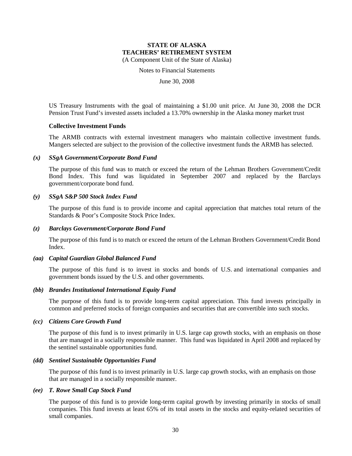Notes to Financial Statements

June 30, 2008

US Treasury Instruments with the goal of maintaining a \$1.00 unit price. At June 30, 2008 the DCR Pension Trust Fund's invested assets included a 13.70% ownership in the Alaska money market trust

#### **Collective Investment Funds**

The ARMB contracts with external investment managers who maintain collective investment funds. Mangers selected are subject to the provision of the collective investment funds the ARMB has selected.

#### *(x) SSgA Government/Corporate Bond Fund*

The purpose of this fund was to match or exceed the return of the Lehman Brothers Government/Credit Bond Index. This fund was liquidated in September 2007 and replaced by the Barclays government/corporate bond fund.

#### *(y) SSgA S&P 500 Stock Index Fund*

The purpose of this fund is to provide income and capital appreciation that matches total return of the Standards & Poor's Composite Stock Price Index.

#### *(z) Barclays Government/Corporate Bond Fund*

The purpose of this fund is to match or exceed the return of the Lehman Brothers Government/Credit Bond Index.

#### *(aa) Capital Guardian Global Balanced Fund*

The purpose of this fund is to invest in stocks and bonds of U.S. and international companies and government bonds issued by the U.S. and other governments.

#### *(bb) Brandes Institutional International Equity Fund*

The purpose of this fund is to provide long-term capital appreciation. This fund invests principally in common and preferred stocks of foreign companies and securities that are convertible into such stocks.

#### *(cc) Citizens Core Growth Fund*

The purpose of this fund is to invest primarily in U.S. large cap growth stocks, with an emphasis on those that are managed in a socially responsible manner. This fund was liquidated in April 2008 and replaced by the sentinel sustainable opportunities fund.

#### *(dd) Sentinel Sustainable Opportunities Fund*

The purpose of this fund is to invest primarily in U.S. large cap growth stocks, with an emphasis on those that are managed in a socially responsible manner.

#### *(ee) T. Rowe Small Cap Stock Fund*

The purpose of this fund is to provide long-term capital growth by investing primarily in stocks of small companies. This fund invests at least 65% of its total assets in the stocks and equity-related securities of small companies.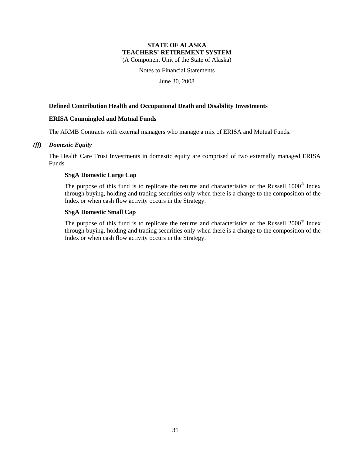Notes to Financial Statements

June 30, 2008

## **Defined Contribution Health and Occupational Death and Disability Investments**

#### **ERISA Commingled and Mutual Funds**

The ARMB Contracts with external managers who manage a mix of ERISA and Mutual Funds.

#### *(ff) Domestic Equity*

The Health Care Trust Investments in domestic equity are comprised of two externally managed ERISA Funds.

#### **SSgA Domestic Large Cap**

The purpose of this fund is to replicate the returns and characteristics of the Russell 1000® Index through buying, holding and trading securities only when there is a change to the composition of the Index or when cash flow activity occurs in the Strategy.

## **SSgA Domestic Small Cap**

The purpose of this fund is to replicate the returns and characteristics of the Russell 2000® Index through buying, holding and trading securities only when there is a change to the composition of the Index or when cash flow activity occurs in the Strategy.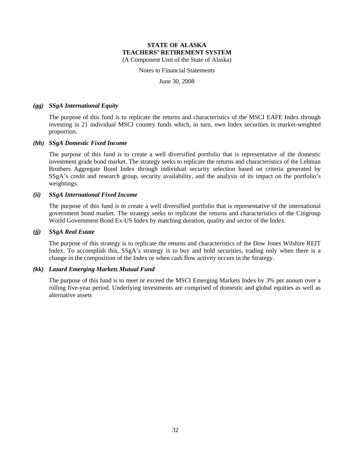Notes to Financial Statements

June 30, 2008

#### *(gg) SSgA International Equity*

The purpose of this fund is to replicate the returns and characteristics of the MSCI EAFE Index through investing in 21 individual MSCI country funds which, in turn, own Index securities in market-weighted proportion.

#### *(hh) SSgA Domestic Fixed Income*

The purpose of this fund is to create a well diversified portfolio that is representative of the domestic investment grade bond market. The strategy seeks to replicate the returns and characteristics of the Lehman Brothers Aggregate Bond Index through individual security selection based on criteria generated by SSgA's credit and research group, security availability, and the analysis of its impact on the portfolio's weightings.

#### *(ii) SSgA International Fixed Income*

The purpose of this fund is to create a well diversified portfolio that is representative of the international government bond market. The strategy seeks to replicate the returns and characteristics of the Citigroup World Government Bond Ex-US Index by matching duration, quality and sector of the Index.

#### *(jj) SSgA Real Estate*

The purpose of this strategy is to replicate the returns and characteristics of the Dow Jones Wilshire REIT Index. To accomplish this, SSgA's strategy is to buy and hold securities, trading only when there is a change in the composition of the Index or when cash flow activity occurs in the Strategy.

#### *(kk) Lazard Emerging Markets Mutual Fund*

The purpose of this fund is to meet or exceed the MSCI Emerging Markets Index by 3% per annum over a rolling five-year period. Underlying investments are comprised of domestic and global equities as well as alternative assets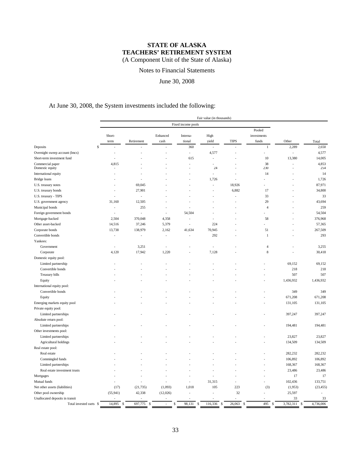Notes to Financial Statements

## June 30, 2008

# At June 30, 2008, the System investments included the following:

| Fixed income pools<br>Pooled<br>Short-<br>Enhanced<br>High<br>investments<br>Interna-<br>funds<br>term<br>Retirement<br>cash<br>tional<br>yield<br><b>TIPS</b><br>Other<br>Total<br>\$<br>360<br>$\,1$<br>2,289<br>2,650<br>Deposits<br>J.<br>÷<br>4,577<br>Overnight sweep account (lmcs)<br>4,577<br>÷,<br>$\overline{\phantom{a}}$<br>Ĭ.<br>٠<br>14,005<br>615<br>10<br>13,380<br>Short-term investment fund<br>×,<br>4,853<br>4,815<br>38<br>J.<br>$\overline{a}$<br>230<br>254<br>24<br>14<br>14<br>$\overline{\phantom{a}}$<br>1,726<br>1,726<br>18,926<br>87,971<br>69,045<br>÷.<br>27,901<br>6,882<br>17<br>34,800<br>33<br>33<br>$\overline{a}$<br>l,<br>12,505<br>29<br>43,694<br>31,160<br>259<br>255<br>$\overline{4}$<br>÷,<br>54,504<br>54,504<br>Foreign government bonds<br>L,<br>J.<br>$\overline{\phantom{a}}$<br>÷,<br>2,504<br>370,048<br>4,358<br>58<br>376,968<br>÷<br>37,246<br>224<br>57,365<br>14,516<br>5,379<br>÷<br>138,979<br>2,162<br>51<br>267,509<br>13,738<br>41,634<br>70,945<br>292<br>293<br>$\mathbf{1}$<br>L,<br>L,<br>L,<br>$\overline{a}$<br>Government<br>3,251<br>3,255<br>$\overline{4}$<br>$\overline{a}$<br>÷,<br>17,942<br>1,220<br>$\,$ 8 $\,$<br>30,418<br>Corporate<br>4,120<br>7,128<br>Domestic equity pool:<br>69,152<br>69,152<br>Limited partnership<br>Convertible bonds<br>218<br>218<br>Treasury bills<br>507<br>507<br>1,436,932<br>1,436,932<br>Equity<br>International equity pool:<br>349<br>349<br>Convertible bonds<br>671,208<br>671,208<br>Equity<br>Emerging markets equity pool<br>131,105<br>131,105<br>Private equity pool:<br>Limited partnerships<br>397,247<br>397,247<br>Absolute return pool:<br>194,481<br>194,481<br>Limited partnerships<br>Other investments pool:<br>23,827<br>23,827<br>Limited partnerships<br>134,509<br>Agricultural holdings<br>134,509<br>Real estate pool:<br>282,232<br>Real estate<br>282,232<br>Commingled funds<br>106,892<br>106,892<br>168,367<br>168,367<br>Limited partnerships<br>Real estate investment trusts<br>23,486<br>23,486<br>17<br>17<br>Mortgages<br>31,315<br>Mutual funds<br>102,436<br>133,751<br>÷<br>L,<br>L,<br>Net other assets (liabilities)<br>(21, 735)<br>(1,093)<br>1,018<br>105<br>223<br>(3)<br>(1,953)<br>(23, 455)<br>(17)<br>(55, 941)<br>42,338<br>(12,026)<br>32<br>25,597<br>Other pool ownership<br>33<br>Unallocated deposits in transit<br>33 |                         |                         |               |  |              | Fair value (in thousands) |                         |           |                 |           |
|------------------------------------------------------------------------------------------------------------------------------------------------------------------------------------------------------------------------------------------------------------------------------------------------------------------------------------------------------------------------------------------------------------------------------------------------------------------------------------------------------------------------------------------------------------------------------------------------------------------------------------------------------------------------------------------------------------------------------------------------------------------------------------------------------------------------------------------------------------------------------------------------------------------------------------------------------------------------------------------------------------------------------------------------------------------------------------------------------------------------------------------------------------------------------------------------------------------------------------------------------------------------------------------------------------------------------------------------------------------------------------------------------------------------------------------------------------------------------------------------------------------------------------------------------------------------------------------------------------------------------------------------------------------------------------------------------------------------------------------------------------------------------------------------------------------------------------------------------------------------------------------------------------------------------------------------------------------------------------------------------------------------------------------------------------------------------------------------------------------------------------------------------------------------------------------------------------------------------------------------------------------------------------------------------------------------------------------------------------------------------------------------|-------------------------|-------------------------|---------------|--|--------------|---------------------------|-------------------------|-----------|-----------------|-----------|
|                                                                                                                                                                                                                                                                                                                                                                                                                                                                                                                                                                                                                                                                                                                                                                                                                                                                                                                                                                                                                                                                                                                                                                                                                                                                                                                                                                                                                                                                                                                                                                                                                                                                                                                                                                                                                                                                                                                                                                                                                                                                                                                                                                                                                                                                                                                                                                                                |                         |                         |               |  |              |                           |                         |           |                 |           |
|                                                                                                                                                                                                                                                                                                                                                                                                                                                                                                                                                                                                                                                                                                                                                                                                                                                                                                                                                                                                                                                                                                                                                                                                                                                                                                                                                                                                                                                                                                                                                                                                                                                                                                                                                                                                                                                                                                                                                                                                                                                                                                                                                                                                                                                                                                                                                                                                |                         |                         |               |  |              |                           |                         |           |                 |           |
|                                                                                                                                                                                                                                                                                                                                                                                                                                                                                                                                                                                                                                                                                                                                                                                                                                                                                                                                                                                                                                                                                                                                                                                                                                                                                                                                                                                                                                                                                                                                                                                                                                                                                                                                                                                                                                                                                                                                                                                                                                                                                                                                                                                                                                                                                                                                                                                                |                         |                         |               |  |              |                           |                         |           |                 |           |
|                                                                                                                                                                                                                                                                                                                                                                                                                                                                                                                                                                                                                                                                                                                                                                                                                                                                                                                                                                                                                                                                                                                                                                                                                                                                                                                                                                                                                                                                                                                                                                                                                                                                                                                                                                                                                                                                                                                                                                                                                                                                                                                                                                                                                                                                                                                                                                                                |                         |                         |               |  |              |                           |                         |           |                 |           |
|                                                                                                                                                                                                                                                                                                                                                                                                                                                                                                                                                                                                                                                                                                                                                                                                                                                                                                                                                                                                                                                                                                                                                                                                                                                                                                                                                                                                                                                                                                                                                                                                                                                                                                                                                                                                                                                                                                                                                                                                                                                                                                                                                                                                                                                                                                                                                                                                |                         |                         |               |  |              |                           |                         |           |                 |           |
|                                                                                                                                                                                                                                                                                                                                                                                                                                                                                                                                                                                                                                                                                                                                                                                                                                                                                                                                                                                                                                                                                                                                                                                                                                                                                                                                                                                                                                                                                                                                                                                                                                                                                                                                                                                                                                                                                                                                                                                                                                                                                                                                                                                                                                                                                                                                                                                                |                         |                         |               |  |              |                           |                         |           |                 |           |
|                                                                                                                                                                                                                                                                                                                                                                                                                                                                                                                                                                                                                                                                                                                                                                                                                                                                                                                                                                                                                                                                                                                                                                                                                                                                                                                                                                                                                                                                                                                                                                                                                                                                                                                                                                                                                                                                                                                                                                                                                                                                                                                                                                                                                                                                                                                                                                                                |                         |                         |               |  |              |                           |                         |           |                 |           |
|                                                                                                                                                                                                                                                                                                                                                                                                                                                                                                                                                                                                                                                                                                                                                                                                                                                                                                                                                                                                                                                                                                                                                                                                                                                                                                                                                                                                                                                                                                                                                                                                                                                                                                                                                                                                                                                                                                                                                                                                                                                                                                                                                                                                                                                                                                                                                                                                | Commercial paper        |                         |               |  |              |                           |                         |           |                 |           |
|                                                                                                                                                                                                                                                                                                                                                                                                                                                                                                                                                                                                                                                                                                                                                                                                                                                                                                                                                                                                                                                                                                                                                                                                                                                                                                                                                                                                                                                                                                                                                                                                                                                                                                                                                                                                                                                                                                                                                                                                                                                                                                                                                                                                                                                                                                                                                                                                | Domestic equity         |                         |               |  |              |                           |                         |           |                 |           |
|                                                                                                                                                                                                                                                                                                                                                                                                                                                                                                                                                                                                                                                                                                                                                                                                                                                                                                                                                                                                                                                                                                                                                                                                                                                                                                                                                                                                                                                                                                                                                                                                                                                                                                                                                                                                                                                                                                                                                                                                                                                                                                                                                                                                                                                                                                                                                                                                | International equity    |                         |               |  |              |                           |                         |           |                 |           |
|                                                                                                                                                                                                                                                                                                                                                                                                                                                                                                                                                                                                                                                                                                                                                                                                                                                                                                                                                                                                                                                                                                                                                                                                                                                                                                                                                                                                                                                                                                                                                                                                                                                                                                                                                                                                                                                                                                                                                                                                                                                                                                                                                                                                                                                                                                                                                                                                | Bridge loans            |                         |               |  |              |                           |                         |           |                 |           |
|                                                                                                                                                                                                                                                                                                                                                                                                                                                                                                                                                                                                                                                                                                                                                                                                                                                                                                                                                                                                                                                                                                                                                                                                                                                                                                                                                                                                                                                                                                                                                                                                                                                                                                                                                                                                                                                                                                                                                                                                                                                                                                                                                                                                                                                                                                                                                                                                | U.S. treasury notes     |                         |               |  |              |                           |                         |           |                 |           |
|                                                                                                                                                                                                                                                                                                                                                                                                                                                                                                                                                                                                                                                                                                                                                                                                                                                                                                                                                                                                                                                                                                                                                                                                                                                                                                                                                                                                                                                                                                                                                                                                                                                                                                                                                                                                                                                                                                                                                                                                                                                                                                                                                                                                                                                                                                                                                                                                | U.S. treasury bonds     |                         |               |  |              |                           |                         |           |                 |           |
|                                                                                                                                                                                                                                                                                                                                                                                                                                                                                                                                                                                                                                                                                                                                                                                                                                                                                                                                                                                                                                                                                                                                                                                                                                                                                                                                                                                                                                                                                                                                                                                                                                                                                                                                                                                                                                                                                                                                                                                                                                                                                                                                                                                                                                                                                                                                                                                                | U.S. treasury - TIPS    |                         |               |  |              |                           |                         |           |                 |           |
|                                                                                                                                                                                                                                                                                                                                                                                                                                                                                                                                                                                                                                                                                                                                                                                                                                                                                                                                                                                                                                                                                                                                                                                                                                                                                                                                                                                                                                                                                                                                                                                                                                                                                                                                                                                                                                                                                                                                                                                                                                                                                                                                                                                                                                                                                                                                                                                                | U.S. government agency  |                         |               |  |              |                           |                         |           |                 |           |
|                                                                                                                                                                                                                                                                                                                                                                                                                                                                                                                                                                                                                                                                                                                                                                                                                                                                                                                                                                                                                                                                                                                                                                                                                                                                                                                                                                                                                                                                                                                                                                                                                                                                                                                                                                                                                                                                                                                                                                                                                                                                                                                                                                                                                                                                                                                                                                                                | Municipal bonds         |                         |               |  |              |                           |                         |           |                 |           |
|                                                                                                                                                                                                                                                                                                                                                                                                                                                                                                                                                                                                                                                                                                                                                                                                                                                                                                                                                                                                                                                                                                                                                                                                                                                                                                                                                                                                                                                                                                                                                                                                                                                                                                                                                                                                                                                                                                                                                                                                                                                                                                                                                                                                                                                                                                                                                                                                |                         |                         |               |  |              |                           |                         |           |                 |           |
|                                                                                                                                                                                                                                                                                                                                                                                                                                                                                                                                                                                                                                                                                                                                                                                                                                                                                                                                                                                                                                                                                                                                                                                                                                                                                                                                                                                                                                                                                                                                                                                                                                                                                                                                                                                                                                                                                                                                                                                                                                                                                                                                                                                                                                                                                                                                                                                                | Mortgage-backed         |                         |               |  |              |                           |                         |           |                 |           |
|                                                                                                                                                                                                                                                                                                                                                                                                                                                                                                                                                                                                                                                                                                                                                                                                                                                                                                                                                                                                                                                                                                                                                                                                                                                                                                                                                                                                                                                                                                                                                                                                                                                                                                                                                                                                                                                                                                                                                                                                                                                                                                                                                                                                                                                                                                                                                                                                | Other asset-backed      |                         |               |  |              |                           |                         |           |                 |           |
|                                                                                                                                                                                                                                                                                                                                                                                                                                                                                                                                                                                                                                                                                                                                                                                                                                                                                                                                                                                                                                                                                                                                                                                                                                                                                                                                                                                                                                                                                                                                                                                                                                                                                                                                                                                                                                                                                                                                                                                                                                                                                                                                                                                                                                                                                                                                                                                                | Corporate bonds         |                         |               |  |              |                           |                         |           |                 |           |
|                                                                                                                                                                                                                                                                                                                                                                                                                                                                                                                                                                                                                                                                                                                                                                                                                                                                                                                                                                                                                                                                                                                                                                                                                                                                                                                                                                                                                                                                                                                                                                                                                                                                                                                                                                                                                                                                                                                                                                                                                                                                                                                                                                                                                                                                                                                                                                                                | Convertible bonds       |                         |               |  |              |                           |                         |           |                 |           |
|                                                                                                                                                                                                                                                                                                                                                                                                                                                                                                                                                                                                                                                                                                                                                                                                                                                                                                                                                                                                                                                                                                                                                                                                                                                                                                                                                                                                                                                                                                                                                                                                                                                                                                                                                                                                                                                                                                                                                                                                                                                                                                                                                                                                                                                                                                                                                                                                | Yankees:                |                         |               |  |              |                           |                         |           |                 |           |
|                                                                                                                                                                                                                                                                                                                                                                                                                                                                                                                                                                                                                                                                                                                                                                                                                                                                                                                                                                                                                                                                                                                                                                                                                                                                                                                                                                                                                                                                                                                                                                                                                                                                                                                                                                                                                                                                                                                                                                                                                                                                                                                                                                                                                                                                                                                                                                                                |                         |                         |               |  |              |                           |                         |           |                 |           |
|                                                                                                                                                                                                                                                                                                                                                                                                                                                                                                                                                                                                                                                                                                                                                                                                                                                                                                                                                                                                                                                                                                                                                                                                                                                                                                                                                                                                                                                                                                                                                                                                                                                                                                                                                                                                                                                                                                                                                                                                                                                                                                                                                                                                                                                                                                                                                                                                |                         |                         |               |  |              |                           |                         |           |                 |           |
|                                                                                                                                                                                                                                                                                                                                                                                                                                                                                                                                                                                                                                                                                                                                                                                                                                                                                                                                                                                                                                                                                                                                                                                                                                                                                                                                                                                                                                                                                                                                                                                                                                                                                                                                                                                                                                                                                                                                                                                                                                                                                                                                                                                                                                                                                                                                                                                                |                         |                         |               |  |              |                           |                         |           |                 |           |
|                                                                                                                                                                                                                                                                                                                                                                                                                                                                                                                                                                                                                                                                                                                                                                                                                                                                                                                                                                                                                                                                                                                                                                                                                                                                                                                                                                                                                                                                                                                                                                                                                                                                                                                                                                                                                                                                                                                                                                                                                                                                                                                                                                                                                                                                                                                                                                                                |                         |                         |               |  |              |                           |                         |           |                 |           |
|                                                                                                                                                                                                                                                                                                                                                                                                                                                                                                                                                                                                                                                                                                                                                                                                                                                                                                                                                                                                                                                                                                                                                                                                                                                                                                                                                                                                                                                                                                                                                                                                                                                                                                                                                                                                                                                                                                                                                                                                                                                                                                                                                                                                                                                                                                                                                                                                |                         |                         |               |  |              |                           |                         |           |                 |           |
|                                                                                                                                                                                                                                                                                                                                                                                                                                                                                                                                                                                                                                                                                                                                                                                                                                                                                                                                                                                                                                                                                                                                                                                                                                                                                                                                                                                                                                                                                                                                                                                                                                                                                                                                                                                                                                                                                                                                                                                                                                                                                                                                                                                                                                                                                                                                                                                                |                         |                         |               |  |              |                           |                         |           |                 |           |
|                                                                                                                                                                                                                                                                                                                                                                                                                                                                                                                                                                                                                                                                                                                                                                                                                                                                                                                                                                                                                                                                                                                                                                                                                                                                                                                                                                                                                                                                                                                                                                                                                                                                                                                                                                                                                                                                                                                                                                                                                                                                                                                                                                                                                                                                                                                                                                                                |                         |                         |               |  |              |                           |                         |           |                 |           |
|                                                                                                                                                                                                                                                                                                                                                                                                                                                                                                                                                                                                                                                                                                                                                                                                                                                                                                                                                                                                                                                                                                                                                                                                                                                                                                                                                                                                                                                                                                                                                                                                                                                                                                                                                                                                                                                                                                                                                                                                                                                                                                                                                                                                                                                                                                                                                                                                |                         |                         |               |  |              |                           |                         |           |                 |           |
|                                                                                                                                                                                                                                                                                                                                                                                                                                                                                                                                                                                                                                                                                                                                                                                                                                                                                                                                                                                                                                                                                                                                                                                                                                                                                                                                                                                                                                                                                                                                                                                                                                                                                                                                                                                                                                                                                                                                                                                                                                                                                                                                                                                                                                                                                                                                                                                                |                         |                         |               |  |              |                           |                         |           |                 |           |
|                                                                                                                                                                                                                                                                                                                                                                                                                                                                                                                                                                                                                                                                                                                                                                                                                                                                                                                                                                                                                                                                                                                                                                                                                                                                                                                                                                                                                                                                                                                                                                                                                                                                                                                                                                                                                                                                                                                                                                                                                                                                                                                                                                                                                                                                                                                                                                                                |                         |                         |               |  |              |                           |                         |           |                 |           |
|                                                                                                                                                                                                                                                                                                                                                                                                                                                                                                                                                                                                                                                                                                                                                                                                                                                                                                                                                                                                                                                                                                                                                                                                                                                                                                                                                                                                                                                                                                                                                                                                                                                                                                                                                                                                                                                                                                                                                                                                                                                                                                                                                                                                                                                                                                                                                                                                |                         |                         |               |  |              |                           |                         |           |                 |           |
|                                                                                                                                                                                                                                                                                                                                                                                                                                                                                                                                                                                                                                                                                                                                                                                                                                                                                                                                                                                                                                                                                                                                                                                                                                                                                                                                                                                                                                                                                                                                                                                                                                                                                                                                                                                                                                                                                                                                                                                                                                                                                                                                                                                                                                                                                                                                                                                                |                         |                         |               |  |              |                           |                         |           |                 |           |
|                                                                                                                                                                                                                                                                                                                                                                                                                                                                                                                                                                                                                                                                                                                                                                                                                                                                                                                                                                                                                                                                                                                                                                                                                                                                                                                                                                                                                                                                                                                                                                                                                                                                                                                                                                                                                                                                                                                                                                                                                                                                                                                                                                                                                                                                                                                                                                                                |                         |                         |               |  |              |                           |                         |           |                 |           |
|                                                                                                                                                                                                                                                                                                                                                                                                                                                                                                                                                                                                                                                                                                                                                                                                                                                                                                                                                                                                                                                                                                                                                                                                                                                                                                                                                                                                                                                                                                                                                                                                                                                                                                                                                                                                                                                                                                                                                                                                                                                                                                                                                                                                                                                                                                                                                                                                |                         |                         |               |  |              |                           |                         |           |                 |           |
|                                                                                                                                                                                                                                                                                                                                                                                                                                                                                                                                                                                                                                                                                                                                                                                                                                                                                                                                                                                                                                                                                                                                                                                                                                                                                                                                                                                                                                                                                                                                                                                                                                                                                                                                                                                                                                                                                                                                                                                                                                                                                                                                                                                                                                                                                                                                                                                                |                         |                         |               |  |              |                           |                         |           |                 |           |
|                                                                                                                                                                                                                                                                                                                                                                                                                                                                                                                                                                                                                                                                                                                                                                                                                                                                                                                                                                                                                                                                                                                                                                                                                                                                                                                                                                                                                                                                                                                                                                                                                                                                                                                                                                                                                                                                                                                                                                                                                                                                                                                                                                                                                                                                                                                                                                                                |                         |                         |               |  |              |                           |                         |           |                 |           |
|                                                                                                                                                                                                                                                                                                                                                                                                                                                                                                                                                                                                                                                                                                                                                                                                                                                                                                                                                                                                                                                                                                                                                                                                                                                                                                                                                                                                                                                                                                                                                                                                                                                                                                                                                                                                                                                                                                                                                                                                                                                                                                                                                                                                                                                                                                                                                                                                |                         |                         |               |  |              |                           |                         |           |                 |           |
|                                                                                                                                                                                                                                                                                                                                                                                                                                                                                                                                                                                                                                                                                                                                                                                                                                                                                                                                                                                                                                                                                                                                                                                                                                                                                                                                                                                                                                                                                                                                                                                                                                                                                                                                                                                                                                                                                                                                                                                                                                                                                                                                                                                                                                                                                                                                                                                                |                         |                         |               |  |              |                           |                         |           |                 |           |
|                                                                                                                                                                                                                                                                                                                                                                                                                                                                                                                                                                                                                                                                                                                                                                                                                                                                                                                                                                                                                                                                                                                                                                                                                                                                                                                                                                                                                                                                                                                                                                                                                                                                                                                                                                                                                                                                                                                                                                                                                                                                                                                                                                                                                                                                                                                                                                                                |                         |                         |               |  |              |                           |                         |           |                 |           |
|                                                                                                                                                                                                                                                                                                                                                                                                                                                                                                                                                                                                                                                                                                                                                                                                                                                                                                                                                                                                                                                                                                                                                                                                                                                                                                                                                                                                                                                                                                                                                                                                                                                                                                                                                                                                                                                                                                                                                                                                                                                                                                                                                                                                                                                                                                                                                                                                |                         |                         |               |  |              |                           |                         |           |                 |           |
|                                                                                                                                                                                                                                                                                                                                                                                                                                                                                                                                                                                                                                                                                                                                                                                                                                                                                                                                                                                                                                                                                                                                                                                                                                                                                                                                                                                                                                                                                                                                                                                                                                                                                                                                                                                                                                                                                                                                                                                                                                                                                                                                                                                                                                                                                                                                                                                                |                         |                         |               |  |              |                           |                         |           |                 |           |
|                                                                                                                                                                                                                                                                                                                                                                                                                                                                                                                                                                                                                                                                                                                                                                                                                                                                                                                                                                                                                                                                                                                                                                                                                                                                                                                                                                                                                                                                                                                                                                                                                                                                                                                                                                                                                                                                                                                                                                                                                                                                                                                                                                                                                                                                                                                                                                                                |                         |                         |               |  |              |                           |                         |           |                 |           |
|                                                                                                                                                                                                                                                                                                                                                                                                                                                                                                                                                                                                                                                                                                                                                                                                                                                                                                                                                                                                                                                                                                                                                                                                                                                                                                                                                                                                                                                                                                                                                                                                                                                                                                                                                                                                                                                                                                                                                                                                                                                                                                                                                                                                                                                                                                                                                                                                |                         |                         |               |  |              |                           |                         |           |                 |           |
|                                                                                                                                                                                                                                                                                                                                                                                                                                                                                                                                                                                                                                                                                                                                                                                                                                                                                                                                                                                                                                                                                                                                                                                                                                                                                                                                                                                                                                                                                                                                                                                                                                                                                                                                                                                                                                                                                                                                                                                                                                                                                                                                                                                                                                                                                                                                                                                                |                         |                         |               |  |              |                           |                         |           |                 |           |
|                                                                                                                                                                                                                                                                                                                                                                                                                                                                                                                                                                                                                                                                                                                                                                                                                                                                                                                                                                                                                                                                                                                                                                                                                                                                                                                                                                                                                                                                                                                                                                                                                                                                                                                                                                                                                                                                                                                                                                                                                                                                                                                                                                                                                                                                                                                                                                                                |                         |                         |               |  |              |                           |                         |           |                 |           |
|                                                                                                                                                                                                                                                                                                                                                                                                                                                                                                                                                                                                                                                                                                                                                                                                                                                                                                                                                                                                                                                                                                                                                                                                                                                                                                                                                                                                                                                                                                                                                                                                                                                                                                                                                                                                                                                                                                                                                                                                                                                                                                                                                                                                                                                                                                                                                                                                |                         |                         |               |  |              |                           |                         |           |                 |           |
|                                                                                                                                                                                                                                                                                                                                                                                                                                                                                                                                                                                                                                                                                                                                                                                                                                                                                                                                                                                                                                                                                                                                                                                                                                                                                                                                                                                                                                                                                                                                                                                                                                                                                                                                                                                                                                                                                                                                                                                                                                                                                                                                                                                                                                                                                                                                                                                                |                         |                         |               |  |              |                           |                         |           |                 |           |
|                                                                                                                                                                                                                                                                                                                                                                                                                                                                                                                                                                                                                                                                                                                                                                                                                                                                                                                                                                                                                                                                                                                                                                                                                                                                                                                                                                                                                                                                                                                                                                                                                                                                                                                                                                                                                                                                                                                                                                                                                                                                                                                                                                                                                                                                                                                                                                                                |                         |                         |               |  |              |                           |                         |           |                 |           |
|                                                                                                                                                                                                                                                                                                                                                                                                                                                                                                                                                                                                                                                                                                                                                                                                                                                                                                                                                                                                                                                                                                                                                                                                                                                                                                                                                                                                                                                                                                                                                                                                                                                                                                                                                                                                                                                                                                                                                                                                                                                                                                                                                                                                                                                                                                                                                                                                | Total invested ssets \$ | 14,895<br><sup>\$</sup> | 697,775<br>\$ |  | 98,131<br>\$ | 116,336<br>S              | 26,063<br><sup>\$</sup> | 495<br>\$ | 3,782,311<br>\$ | 4,736,006 |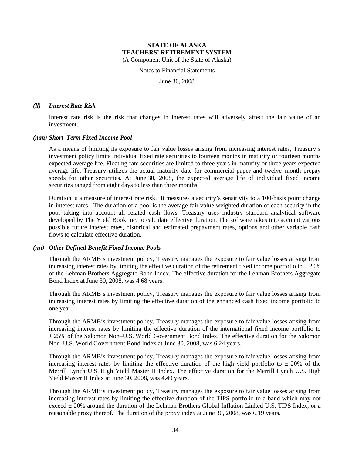Notes to Financial Statements

June 30, 2008

#### *(ll) Interest Rate Risk*

Interest rate risk is the risk that changes in interest rates will adversely affect the fair value of an investment.

#### *(mm) Short–Term Fixed Income Pool*

As a means of limiting its exposure to fair value losses arising from increasing interest rates, Treasury's investment policy limits individual fixed rate securities to fourteen months in maturity or fourteen months expected average life. Floating rate securities are limited to three years in maturity or three years expected average life. Treasury utilizes the actual maturity date for commercial paper and twelve–month prepay speeds for other securities. At June 30, 2008, the expected average life of individual fixed income securities ranged from eight days to less than three months.

Duration is a measure of interest rate risk. It measures a security's sensitivity to a 100-basis point change in interest rates. The duration of a pool is the average fair value weighted duration of each security in the pool taking into account all related cash flows. Treasury uses industry standard analytical software developed by The Yield Book Inc. to calculate effective duration. The software takes into account various possible future interest rates, historical and estimated prepayment rates, options and other variable cash flows to calculate effective duration.

#### *(nn) Other Defined Benefit Fixed Income Pools*

Through the ARMB's investment policy, Treasury manages the exposure to fair value losses arising from increasing interest rates by limiting the effective duration of the retirement fixed income portfolio to  $\pm 20\%$ of the Lehman Brothers Aggregate Bond Index. The effective duration for the Lehman Brothers Aggregate Bond Index at June 30, 2008, was 4.68 years.

Through the ARMB's investment policy, Treasury manages the exposure to fair value losses arising from increasing interest rates by limiting the effective duration of the enhanced cash fixed income portfolio to one year.

Through the ARMB's investment policy, Treasury manages the exposure to fair value losses arising from increasing interest rates by limiting the effective duration of the international fixed income portfolio to ± 25% of the Salomon Non–U.S. World Government Bond Index. The effective duration for the Salomon Non–U.S. World Government Bond Index at June 30, 2008, was 6.24 years.

Through the ARMB's investment policy, Treasury manages the exposure to fair value losses arising from increasing interest rates by limiting the effective duration of the high yield portfolio to  $\pm$  20% of the Merrill Lynch U.S. High Yield Master II Index. The effective duration for the Merrill Lynch U.S. High Yield Master II Index at June 30, 2008, was 4.49 years.

Through the ARMB's investment policy, Treasury manages the exposure to fair value losses arising from increasing interest rates by limiting the effective duration of the TIPS portfolio to a band which may not exceed  $\pm$  20% around the duration of the Lehman Brothers Global Inflation-Linked U.S. TIPS Index, or a reasonable proxy thereof. The duration of the proxy index at June 30, 2008, was 6.19 years.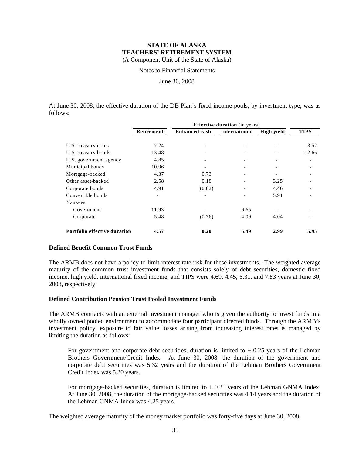Notes to Financial Statements

June 30, 2008

At June 30, 2008, the effective duration of the DB Plan's fixed income pools, by investment type, was as follows:

|                              | <b>Effective duration</b> (in years) |                      |               |            |             |  |  |
|------------------------------|--------------------------------------|----------------------|---------------|------------|-------------|--|--|
|                              | Retirement                           | <b>Enhanced cash</b> | International | High yield | <b>TIPS</b> |  |  |
| U.S. treasury notes          | 7.24                                 |                      |               |            | 3.52        |  |  |
| U.S. treasury bonds          | 13.48                                |                      |               |            | 12.66       |  |  |
| U.S. government agency       | 4.85                                 |                      |               |            |             |  |  |
| Municipal bonds              | 10.96                                |                      |               |            |             |  |  |
| Mortgage-backed              | 4.37                                 | 0.73                 |               |            |             |  |  |
| Other asset-backed           | 2.58                                 | 0.18                 |               | 3.25       |             |  |  |
| Corporate bonds              | 4.91                                 | (0.02)               |               | 4.46       |             |  |  |
| Convertible bonds            |                                      |                      |               | 5.91       |             |  |  |
| Yankees                      |                                      |                      |               |            |             |  |  |
| Government                   | 11.93                                |                      | 6.65          |            |             |  |  |
| Corporate                    | 5.48                                 | (0.76)               | 4.09          | 4.04       |             |  |  |
| Portfolio effective duration | 4.57                                 | 0.20                 | 5.49          | 2.99       | 5.95        |  |  |

#### **Defined Benefit Common Trust Funds**

The ARMB does not have a policy to limit interest rate risk for these investments. The weighted average maturity of the common trust investment funds that consists solely of debt securities, domestic fixed income, high yield, international fixed income, and TIPS were 4.69, 4.45, 6.31, and 7.83 years at June 30, 2008, respectively.

#### **Defined Contribution Pension Trust Pooled Investment Funds**

The ARMB contracts with an external investment manager who is given the authority to invest funds in a wholly owned pooled environment to accommodate four participant directed funds. Through the ARMB's investment policy, exposure to fair value losses arising from increasing interest rates is managed by limiting the duration as follows:

For government and corporate debt securities, duration is limited to  $\pm$  0.25 years of the Lehman Brothers Government/Credit Index. At June 30, 2008, the duration of the government and corporate debt securities was 5.32 years and the duration of the Lehman Brothers Government Credit Index was 5.30 years.

For mortgage-backed securities, duration is limited to  $\pm$  0.25 years of the Lehman GNMA Index. At June 30, 2008, the duration of the mortgage-backed securities was 4.14 years and the duration of the Lehman GNMA Index was 4.25 years.

The weighted average maturity of the money market portfolio was forty-five days at June 30, 2008.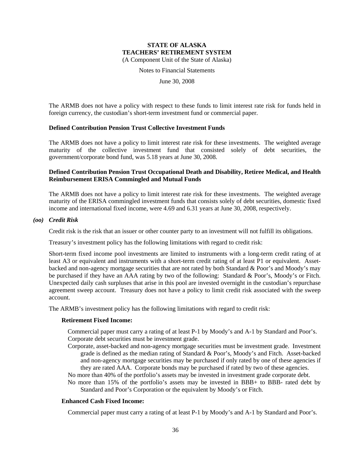Notes to Financial Statements

June 30, 2008

The ARMB does not have a policy with respect to these funds to limit interest rate risk for funds held in foreign currency, the custodian's short-term investment fund or commercial paper.

#### **Defined Contribution Pension Trust Collective Investment Funds**

The ARMB does not have a policy to limit interest rate risk for these investments. The weighted average maturity of the collective investment fund that consisted solely of debt securities, the government/corporate bond fund, was 5.18 years at June 30, 2008.

## **Defined Contribution Pension Trust Occupational Death and Disability, Retiree Medical, and Health Reimbursement ERISA Commingled and Mutual Funds**

The ARMB does not have a policy to limit interest rate risk for these investments. The weighted average maturity of the ERISA commingled investment funds that consists solely of debt securities, domestic fixed income and international fixed income, were 4.69 and 6.31 years at June 30, 2008, respectively.

#### *(oo) Credit Risk*

Credit risk is the risk that an issuer or other counter party to an investment will not fulfill its obligations.

Treasury's investment policy has the following limitations with regard to credit risk:

Short-term fixed income pool investments are limited to instruments with a long-term credit rating of at least A3 or equivalent and instruments with a short-term credit rating of at least P1 or equivalent. Assetbacked and non-agency mortgage securities that are not rated by both Standard & Poor's and Moody's may be purchased if they have an AAA rating by two of the following: Standard & Poor's, Moody's or Fitch. Unexpected daily cash surpluses that arise in this pool are invested overnight in the custodian's repurchase agreement sweep account. Treasury does not have a policy to limit credit risk associated with the sweep account.

The ARMB's investment policy has the following limitations with regard to credit risk:

#### **Retirement Fixed Income:**

Commercial paper must carry a rating of at least P-1 by Moody's and A-1 by Standard and Poor's. Corporate debt securities must be investment grade.

- Corporate, asset-backed and non-agency mortgage securities must be investment grade. Investment grade is defined as the median rating of Standard & Poor's, Moody's and Fitch. Asset-backed and non-agency mortgage securities may be purchased if only rated by one of these agencies if they are rated AAA. Corporate bonds may be purchased if rated by two of these agencies.
- No more than 40% of the portfolio's assets may be invested in investment grade corporate debt.
- No more than 15% of the portfolio's assets may be invested in BBB+ to BBB- rated debt by Standard and Poor's Corporation or the equivalent by Moody's or Fitch.

#### **Enhanced Cash Fixed Income:**

Commercial paper must carry a rating of at least P-1 by Moody's and A-1 by Standard and Poor's.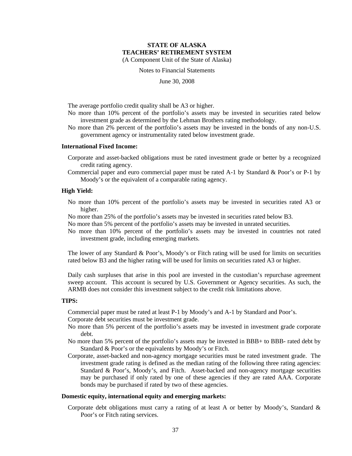Notes to Financial Statements

June 30, 2008

The average portfolio credit quality shall be A3 or higher.

- No more than 10% percent of the portfolio's assets may be invested in securities rated below investment grade as determined by the Lehman Brothers rating methodology.
- No more than 2% percent of the portfolio's assets may be invested in the bonds of any non-U.S. government agency or instrumentality rated below investment grade.

#### **International Fixed Income:**

- Corporate and asset-backed obligations must be rated investment grade or better by a recognized credit rating agency.
- Commercial paper and euro commercial paper must be rated A-1 by Standard & Poor's or P-1 by Moody's or the equivalent of a comparable rating agency.

#### **High Yield:**

- No more than 10% percent of the portfolio's assets may be invested in securities rated A3 or higher.
- No more than 25% of the portfolio's assets may be invested in securities rated below B3.
- No more than 5% percent of the portfolio's assets may be invested in unrated securities.
- No more than 10% percent of the portfolio's assets may be invested in countries not rated investment grade, including emerging markets.

The lower of any Standard & Poor's, Moody's or Fitch rating will be used for limits on securities rated below B3 and the higher rating will be used for limits on securities rated A3 or higher.

Daily cash surpluses that arise in this pool are invested in the custodian's repurchase agreement sweep account. This account is secured by U.S. Government or Agency securities. As such, the ARMB does not consider this investment subject to the credit risk limitations above.

#### **TIPS:**

Commercial paper must be rated at least P-1 by Moody's and A-1 by Standard and Poor's.

Corporate debt securities must be investment grade.

- No more than 5% percent of the portfolio's assets may be invested in investment grade corporate debt.
- No more than 5% percent of the portfolio's assets may be invested in BBB+ to BBB- rated debt by Standard & Poor's or the equivalents by Moody's or Fitch.
- Corporate, asset-backed and non-agency mortgage securities must be rated investment grade. The investment grade rating is defined as the median rating of the following three rating agencies: Standard & Poor's, Moody's, and Fitch. Asset-backed and non-agency mortgage securities may be purchased if only rated by one of these agencies if they are rated AAA. Corporate bonds may be purchased if rated by two of these agencies.

#### **Domestic equity, international equity and emerging markets:**

Corporate debt obligations must carry a rating of at least A or better by Moody's, Standard & Poor's or Fitch rating services.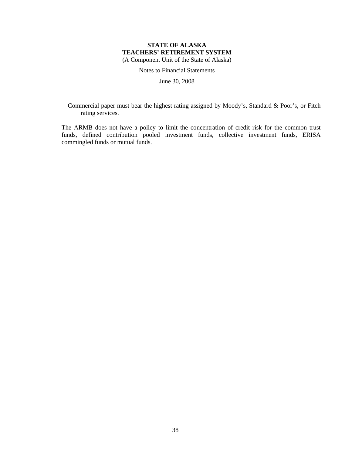Notes to Financial Statements

June 30, 2008

Commercial paper must bear the highest rating assigned by Moody's, Standard & Poor's, or Fitch rating services.

The ARMB does not have a policy to limit the concentration of credit risk for the common trust funds, defined contribution pooled investment funds, collective investment funds, ERISA commingled funds or mutual funds.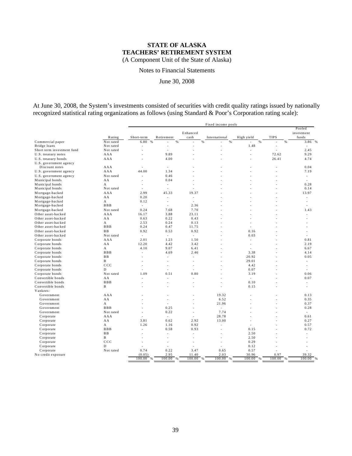Notes to Financial Statements

June 30, 2008

At June 30, 2008, the System's investments consisted of securities with credit quality ratings issued by nationally recognized statistical rating organizations as follows (using Standard & Poor's Corporation rating scale):

|                                               |                     | Fixed income pools                  |                 |                |                    |                 |             |                                |
|-----------------------------------------------|---------------------|-------------------------------------|-----------------|----------------|--------------------|-----------------|-------------|--------------------------------|
|                                               |                     |                                     |                 |                |                    |                 |             | Pooled                         |
|                                               |                     |                                     |                 | Enhanced       |                    |                 |             | investment                     |
|                                               | Rating<br>Not rated | Short-term<br>6.80<br>$\frac{9}{6}$ | Retirement<br>% | cash<br>%      | International<br>% | High yield<br>% | <b>TIPS</b> | funds<br>3.86<br>$\frac{9}{6}$ |
| Commercial paper<br>Bridge loans              | Not rated           |                                     |                 |                |                    | 1.48            | ÷,          | ÷,                             |
| Short term investment fund                    | Not rated           | $\overline{\phantom{a}}$            | ÷,              |                | ä,                 | ÷,              | ÷,          | 2.45                           |
|                                               | AAA                 |                                     | 9.89            |                |                    | ÷,              | 72.62       | 9.29                           |
| U.S. treasury notes                           | AAA                 |                                     | 4.00            |                |                    | ÷               | 26.41       | 4.74                           |
| U.S. treasury bonds<br>U.S. government agency |                     |                                     |                 |                |                    |                 |             |                                |
| Discount notes                                | AAA                 |                                     | ÷.              |                |                    |                 |             | 0.04                           |
| U.S. government agency                        | AAA                 | 44.00                               | 1.34            |                |                    | ÷               | ÷           | 7.19                           |
| U.S. government agency                        | Not rated           | $\overline{\phantom{a}}$            | 0.46            |                |                    |                 |             | $\sim$                         |
| Municipal bonds                               | AA                  | $\overline{a}$                      | 0.04            |                |                    |                 |             | $\overline{a}$                 |
| Municipal bonds                               | $\mathbf{A}$        | $\overline{\phantom{a}}$            | $\mathcal{L}$   | $\overline{a}$ |                    | ÷               |             | 0.28                           |
| Municipal bonds                               | Not rated           | $\overline{\phantom{a}}$            | ÷,              |                |                    |                 |             | 0.14                           |
| Mortgage-backed                               | AAA                 | 2.99                                | 45.33           | 19.37          |                    |                 |             | 13.97                          |
| Mortgage-backed                               | AA                  | 0.20                                | $\overline{a}$  | ÷,             |                    |                 |             | ÷,                             |
| Mortgage-backed                               | $\mathbf{A}$        | 0.12                                | $\overline{a}$  | J.             |                    |                 |             |                                |
| Mortgage-backed                               | <b>BBB</b>          | $\sim$                              | $\overline{a}$  | 2.36           |                    |                 |             | ä,                             |
| Mortgage-backed                               | Not rated           | 0.24                                | 7.68            | 7.70           |                    |                 |             | 1.43                           |
| Other asset-backed                            | AAA                 | 16.17                               | 3.88            | 23.11          |                    |                 |             | $\overline{a}$                 |
| Other asset-backed                            | AA                  | 0.63                                | 0.22            | 0.43           |                    |                 |             | L.                             |
| Other asset-backed                            | $\mathbf{A}$        | 2.53                                | 0.24            | 0.13           |                    |                 |             |                                |
| Other asset-backed                            | <b>BBB</b>          | 0.24                                | 0.47            | 11.75          |                    | ÷               |             |                                |
| Other asset-backed                            | BB                  | 0.92                                | 0.53            | 0.92           |                    | 0.16            |             | L.                             |
| Other asset-backed                            | Not rated           | $\mathbf{r}$                        | $\sim$          | $\sim$         |                    | 0.03            |             | $\overline{a}$                 |
| Corporate bonds                               | AAA                 | 2.01                                | 1.23            | 1.50           | ÷                  | L.              |             | 0.81                           |
| Corporate bonds                               | AA                  | 12.20                               | 4.42            | 3.42           |                    | ÷               |             | 2.19                           |
| Corporate bonds                               | A                   | 4.10                                | 9.07            | 6.41           |                    |                 |             | 6.67                           |
| Corporate bonds                               | <b>BBB</b>          | ÷.                                  | 4.69            | 2.46           |                    | 3.38            |             | 4.14                           |
| Corporate bonds                               | <b>BB</b>           |                                     | ÷,              | L,             |                    | 20.92           |             | 0.05                           |
| Corporate bonds                               | B                   | $\overline{\phantom{a}}$            | $\sim$          | ä,             | ä,                 | 29.01           | ä,          | ä,                             |
| Corporate bonds                               | $_{\rm ccc}$        | $\overline{\phantom{a}}$            | ÷,              | ÷,             |                    | 4.42            |             | ä,                             |
| Corporate bonds                               | D                   |                                     | ÷,              |                |                    | 0.07            |             |                                |
| Corporate bonds                               | Not rated           | 1.09                                | 0.51            | 0.80           | ÷                  | 3.19            | ÷           | 0.06                           |
| Convertible bonds                             | AA                  |                                     | L.              | L,             |                    | $\sim$          |             | 0.07                           |
| Convertible bonds                             | <b>BBB</b>          |                                     | ÷,              | ä,             |                    | 0.10            |             |                                |
| Convertible bonds                             | $\mathbf{B}$        |                                     | ÷               |                |                    | 0.15            | ÷           | ÷.                             |
| Yankees:                                      |                     |                                     |                 |                |                    |                 |             |                                |
| Government                                    | AAA                 |                                     | ÷               | ÷              | 19.32              | ÷               | ÷           | 0.13                           |
| Government                                    | AA                  |                                     | ä,              | ä,             | 6.52               |                 | ÷           | 0.35                           |
| Government                                    | $\mathbf{A}$        |                                     | ÷,              |                | 21.96              |                 |             | 0.37                           |
| Government                                    | <b>BBB</b>          |                                     | 0.25            | ÷              | $\mathcal{L}$      | ÷               | ٠           | 0.28                           |
| Government                                    | Not rated           | $\overline{\phantom{a}}$            | 0.22            | ÷,             | 7.74               | J.              | L,          | $\sim$                         |
| Corporate                                     | AAA                 |                                     | $\mathbf{r}$    |                | 28.78              |                 |             | 0.61                           |
| Corporate                                     | AA                  | 3.81                                | 0.62            | 2.92           | 13.00              | $\overline{a}$  | L,          | 0.27                           |
| Corporate                                     | A                   | 1.26                                | 1.16            | 0.92           | $\overline{a}$     | ÷,              |             | 0.57                           |
| Corporate                                     | <b>BBB</b>          | $\overline{a}$                      | 0.58            | 0.93           | ÷                  | 0.15            |             | 0.72                           |
| Corporate                                     | <b>BB</b>           | $\overline{a}$                      | ÷.              | L.             | L.                 | 2.50            | L,          | $\overline{a}$                 |
| Corporate                                     | $\mathbf{B}$        |                                     | ÷,              | L              |                    | 2.50            |             |                                |
| Corporate                                     | $_{\rm ccc}$        |                                     | ÷               | ÷              | ÷                  | 0.29            |             |                                |
| Corporate                                     | D                   | ÷                                   | ÷,              | l,             | ÷,                 | 0.12            | ۰           |                                |
| Corporate                                     | Not rated           | 0.74                                | 0.22            | 3.47           | 0.65               | 0.57            |             |                                |
| No credit exposure                            |                     | (0.05)                              | 2.95            | 11.40          | 2.03               | 30.96           | 0.97        | 39.32                          |
|                                               |                     | 100.00<br>%                         | 100.00<br>- %   | 100.00<br>%    | 100.00<br>$\%$     | 100.00<br>%     | 100.00<br>% | 100.00                         |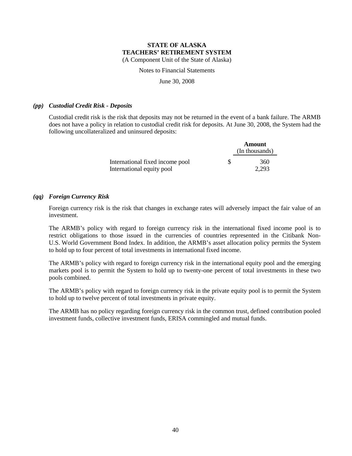Notes to Financial Statements

June 30, 2008

#### *(pp) Custodial Credit Risk - Deposits*

Custodial credit risk is the risk that deposits may not be returned in the event of a bank failure. The ARMB does not have a policy in relation to custodial credit risk for deposits. At June 30, 2008, the System had the following uncollateralized and uninsured deposits:

|                                 |   | Amount         |  |  |
|---------------------------------|---|----------------|--|--|
|                                 |   | (In thousands) |  |  |
| International fixed income pool | S | 360            |  |  |
| International equity pool       |   | 2.293          |  |  |

#### *(qq) Foreign Currency Risk*

Foreign currency risk is the risk that changes in exchange rates will adversely impact the fair value of an investment.

The ARMB's policy with regard to foreign currency risk in the international fixed income pool is to restrict obligations to those issued in the currencies of countries represented in the Citibank Non-U.S. World Government Bond Index. In addition, the ARMB's asset allocation policy permits the System to hold up to four percent of total investments in international fixed income.

The ARMB's policy with regard to foreign currency risk in the international equity pool and the emerging markets pool is to permit the System to hold up to twenty-one percent of total investments in these two pools combined.

The ARMB's policy with regard to foreign currency risk in the private equity pool is to permit the System to hold up to twelve percent of total investments in private equity.

The ARMB has no policy regarding foreign currency risk in the common trust, defined contribution pooled investment funds, collective investment funds, ERISA commingled and mutual funds.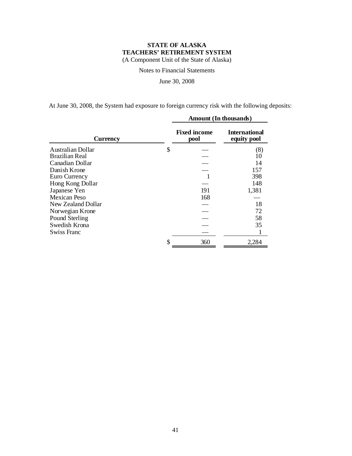Notes to Financial Statements

June 30, 2008

At June 30, 2008, the System had exposure to foreign currency risk with the following deposits:

|                    | <b>Amount</b> (In thousands) |                                     |  |  |
|--------------------|------------------------------|-------------------------------------|--|--|
| Currency           | <b>Fixed income</b><br>pool  | <b>International</b><br>equity pool |  |  |
| Australian Dollar  | \$                           | (8)                                 |  |  |
| Brazilian Real     |                              | 10                                  |  |  |
| Canadian Dollar    |                              | 14                                  |  |  |
| Danish Krone       |                              | 157                                 |  |  |
| Euro Currency      | 1                            | 398                                 |  |  |
| Hong Kong Dollar   |                              | 148                                 |  |  |
| Japanese Yen       | 191                          | 1,381                               |  |  |
| Mexican Peso       | 168                          |                                     |  |  |
| New Zealand Dollar |                              | 18                                  |  |  |
| Norwegian Krone    |                              | 72                                  |  |  |
| Pound Sterling     |                              | 58                                  |  |  |
| Swedish Krona      |                              | 35                                  |  |  |
| Swiss Franc        |                              |                                     |  |  |
|                    | \$<br>360                    | 2,284                               |  |  |
|                    |                              |                                     |  |  |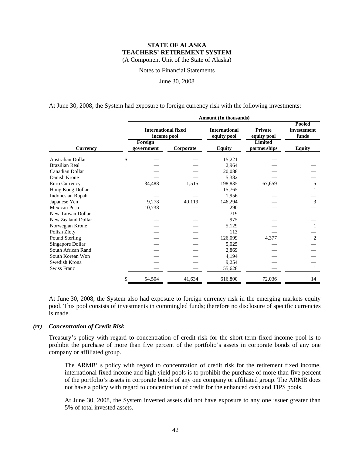Notes to Financial Statements

June 30, 2008

At June 30, 2008, the System had exposure to foreign currency risk with the following investments:

|                       | Amount (In thousands) |                                                      |           |                                     |                                                 |                                |  |  |  |
|-----------------------|-----------------------|------------------------------------------------------|-----------|-------------------------------------|-------------------------------------------------|--------------------------------|--|--|--|
|                       |                       | <b>International fixed</b><br>income pool<br>Foreign |           | <b>International</b><br>equity pool | <b>Private</b><br>equity pool<br><b>Limited</b> | Pooled<br>investement<br>funds |  |  |  |
| <b>Currency</b>       |                       | government                                           | Corporate | <b>Equity</b>                       | partnerships                                    | <b>Equity</b>                  |  |  |  |
| Australian Dollar     | \$                    |                                                      |           | 15,221                              |                                                 |                                |  |  |  |
| <b>Brazilian Real</b> |                       |                                                      |           | 2,964                               |                                                 |                                |  |  |  |
| Canadian Dollar       |                       |                                                      |           | 20,088                              |                                                 |                                |  |  |  |
| Danish Krone          |                       |                                                      |           | 5,382                               |                                                 |                                |  |  |  |
| Euro Currency         |                       | 34,488                                               | 1,515     | 198,835                             | 67,659                                          | 5                              |  |  |  |
| Hong Kong Dollar      |                       |                                                      |           | 15,765                              |                                                 |                                |  |  |  |
| Indonesian Rupah      |                       |                                                      |           | 1,956                               |                                                 |                                |  |  |  |
| Japanese Yen          |                       | 9,278                                                | 40,119    | 146,294                             |                                                 | 3                              |  |  |  |
| <b>Mexican Peso</b>   |                       | 10,738                                               |           | 290                                 |                                                 |                                |  |  |  |
| New Taiwan Dollar     |                       |                                                      |           | 719                                 |                                                 |                                |  |  |  |
| New Zealand Dollar    |                       |                                                      |           | 975                                 |                                                 |                                |  |  |  |
| Norwegian Krone       |                       |                                                      |           | 5,129                               |                                                 |                                |  |  |  |
| Polish Zloty          |                       |                                                      |           | 113                                 |                                                 |                                |  |  |  |
| Pound Sterling        |                       |                                                      |           | 126,099                             | 4,377                                           | $\overline{2}$                 |  |  |  |
| Singapore Dollar      |                       |                                                      |           | 5,025                               |                                                 |                                |  |  |  |
| South African Rand    |                       |                                                      |           | 2,869                               |                                                 |                                |  |  |  |
| South Korean Won      |                       |                                                      |           | 4,194                               |                                                 |                                |  |  |  |
| Swedish Krona         |                       |                                                      |           | 9,254                               |                                                 |                                |  |  |  |
| <b>Swiss Franc</b>    |                       |                                                      |           | 55,628                              |                                                 |                                |  |  |  |
|                       | \$                    | 54,504                                               | 41,634    | 616,800                             | 72,036                                          | 14                             |  |  |  |

At June 30, 2008, the System also had exposure to foreign currency risk in the emerging markets equity pool. This pool consists of investments in commingled funds; therefore no disclosure of specific currencies is made.

#### *(rr) Concentration of Credit Risk*

Treasury's policy with regard to concentration of credit risk for the short-term fixed income pool is to prohibit the purchase of more than five percent of the portfolio's assets in corporate bonds of any one company or affiliated group.

The ARMB' s policy with regard to concentration of credit risk for the retirement fixed income, international fixed income and high yield pools is to prohibit the purchase of more than five percent of the portfolio's assets in corporate bonds of any one company or affiliated group. The ARMB does not have a policy with regard to concentration of credit for the enhanced cash and TIPS pools.

At June 30, 2008, the System invested assets did not have exposure to any one issuer greater than 5% of total invested assets.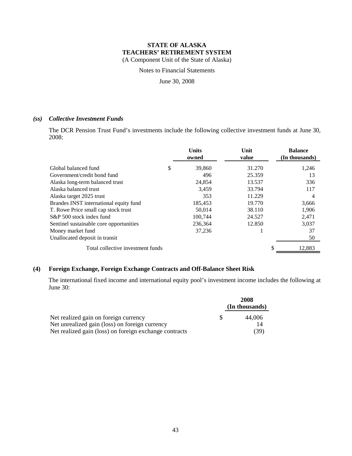Notes to Financial Statements

June 30, 2008

#### *(ss) Collective Investment Funds*

The DCR Pension Trust Fund's investments include the following collective investment funds at June 30, 2008:

|                                         | <b>Units</b><br>owned | Unit<br>value | <b>Balance</b><br>(In thousands) |
|-----------------------------------------|-----------------------|---------------|----------------------------------|
| Global balanced fund                    | \$<br>39,860          | 31.270        | 1,246                            |
| Government/credit bond fund             | 496                   | 25.359        | 13                               |
| Alaska long-term balanced trust         | 24,854                | 13.537        | 336                              |
| Alaska balanced trust                   | 3,459                 | 33.794        | 117                              |
| Alaska target 2025 trust                | 353                   | 11.229        | 4                                |
| Brandes INST international equity fund  | 185,453               | 19.770        | 3,666                            |
| T. Rowe Price small cap stock trust     | 50,014                | 38.110        | 1,906                            |
| S&P 500 stock index fund                | 100.744               | 24.527        | 2.471                            |
| Sentinel sustainable core opportunities | 236,364               | 12.850        | 3,037                            |
| Money market fund                       | 37,236                |               | 37                               |
| Unallocated deposit in transit          |                       |               | 50                               |
| Total collective investment funds       |                       |               | 12,883                           |

## **(4) Foreign Exchange, Foreign Exchange Contracts and Off-Balance Sheet Risk**

The international fixed income and international equity pool's investment income includes the following at June 30:

|                                                        |     | 2008           |  |
|--------------------------------------------------------|-----|----------------|--|
|                                                        |     | (In thousands) |  |
| Net realized gain on foreign currency                  | -SS | 44,006         |  |
| Net unrealized gain (loss) on foreign currency         |     | 14             |  |
| Net realized gain (loss) on foreign exchange contracts |     | (39)           |  |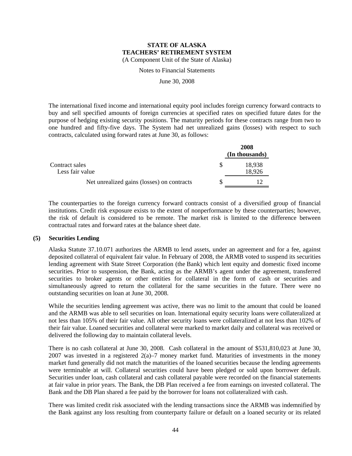Notes to Financial Statements

June 30, 2008

The international fixed income and international equity pool includes foreign currency forward contracts to buy and sell specified amounts of foreign currencies at specified rates on specified future dates for the purpose of hedging existing security positions. The maturity periods for these contracts range from two to one hundred and fifty-five days. The System had net unrealized gains (losses) with respect to such contracts, calculated using forward rates at June 30, as follows:

|                                            | 2008<br>(In thousands) |
|--------------------------------------------|------------------------|
| Contract sales<br>Less fair value          | 18.938<br>18,926       |
| Net unrealized gains (losses) on contracts |                        |

The counterparties to the foreign currency forward contracts consist of a diversified group of financial institutions. Credit risk exposure exists to the extent of nonperformance by these counterparties; however, the risk of default is considered to be remote. The market risk is limited to the difference between contractual rates and forward rates at the balance sheet date.

#### **(5) Securities Lending**

Alaska Statute 37.10.071 authorizes the ARMB to lend assets, under an agreement and for a fee, against deposited collateral of equivalent fair value. In February of 2008, the ARMB voted to suspend its securities lending agreement with State Street Corporation (the Bank) which lent equity and domestic fixed income securities. Prior to suspension, the Bank, acting as the ARMB's agent under the agreement, transferred securities to broker agents or other entities for collateral in the form of cash or securities and simultaneously agreed to return the collateral for the same securities in the future. There were no outstanding securities on loan at June 30, 2008.

While the securities lending agreement was active, there was no limit to the amount that could be loaned and the ARMB was able to sell securities on loan. International equity security loans were collateralized at not less than 105% of their fair value. All other security loans were collateralized at not less than 102% of their fair value. Loaned securities and collateral were marked to market daily and collateral was received or delivered the following day to maintain collateral levels.

There is no cash collateral at June 30, 2008. Cash collateral in the amount of \$531,810,023 at June 30, 2007 was invested in a registered  $2(a)$ –7 money market fund. Maturities of investments in the money market fund generally did not match the maturities of the loaned securities because the lending agreements were terminable at will. Collateral securities could have been pledged or sold upon borrower default. Securities under loan, cash collateral and cash collateral payable were recorded on the financial statements at fair value in prior years. The Bank, the DB Plan received a fee from earnings on invested collateral. The Bank and the DB Plan shared a fee paid by the borrower for loans not collateralized with cash.

There was limited credit risk associated with the lending transactions since the ARMB was indemnified by the Bank against any loss resulting from counterparty failure or default on a loaned security or its related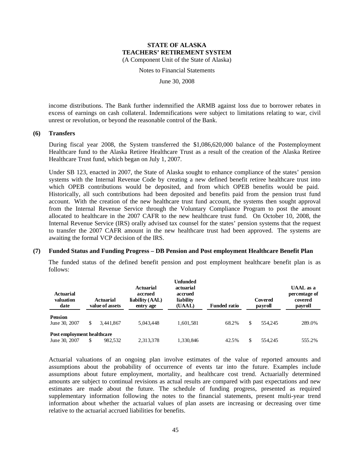Notes to Financial Statements

June 30, 2008

income distributions. The Bank further indemnified the ARMB against loss due to borrower rebates in excess of earnings on cash collateral. Indemnifications were subject to limitations relating to war, civil unrest or revolution, or beyond the reasonable control of the Bank.

#### **(6) Transfers**

During fiscal year 2008, the System transferred the \$1,086,620,000 balance of the Postemployment Healthcare fund to the Alaska Retiree Healthcare Trust as a result of the creation of the Alaska Retiree Healthcare Trust fund, which began on July 1, 2007.

Under SB 123, enacted in 2007, the State of Alaska sought to enhance compliance of the states' pension systems with the Internal Revenue Code by creating a new defined benefit retiree healthcare trust into which OPEB contributions would be deposited, and from which OPEB benefits would be paid. Historically, all such contributions had been deposited and benefits paid from the pension trust fund account. With the creation of the new healthcare trust fund account, the systems then sought approval from the Internal Revenue Service through the Voluntary Compliance Program to post the amount allocated to healthcare in the 2007 CAFR to the new healthcare trust fund. On October 10, 2008, the Internal Revenue Service (IRS) orally advised tax counsel for the states' pension systems that the request to transfer the 2007 CAFR amount in the new healthcare trust had been approved. The systems are awaiting the formal VCP decision of the IRS.

#### **(7) Funded Status and Funding Progress – DB Pension and Post employment Healthcare Benefit Plan**

The funded status of the defined benefit pension and post employment healthcare benefit plan is as follows:

| Actuarial<br>valuation<br>date              | Actuarial<br>value of assets |           | Unfunded<br>actuarial<br><b>Actuarial</b><br>accrued<br>accrued<br>liability (AAL)<br>liability<br>(UAAL)<br>entry age |           | <b>Funded ratio</b> | Covered<br>payroll |         | <b>UAAL</b> as a<br>percentage of<br>covered<br>payroll |
|---------------------------------------------|------------------------------|-----------|------------------------------------------------------------------------------------------------------------------------|-----------|---------------------|--------------------|---------|---------------------------------------------------------|
| <b>Pension</b><br>June 30, 2007             |                              | 3.441.867 | 5.043.448                                                                                                              | 1,601,581 | 68.2%               | S.                 | 554.245 | 289.0%                                                  |
| Post employment healthcare<br>June 30, 2007 | S                            | 982.532   | 2,313,378                                                                                                              | 1,330,846 | 42.5%               |                    | 554.245 | 555.2%                                                  |

Actuarial valuations of an ongoing plan involve estimates of the value of reported amounts and assumptions about the probability of occurrence of events tar into the future. Examples include assumptions about future employment, mortality, and healthcare cost trend. Actuarially determined amounts are subject to continual revisions as actual results are compared with past expectations and new estimates are made about the future. The schedule of funding progress, presented as required supplementary information following the notes to the financial statements, present multi-year trend information about whether the actuarial values of plan assets are increasing or decreasing over time relative to the actuarial accrued liabilities for benefits.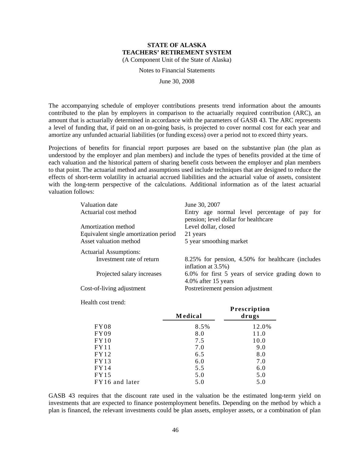Notes to Financial Statements

June 30, 2008

The accompanying schedule of employer contributions presents trend information about the amounts contributed to the plan by employers in comparison to the actuarially required contribution (ARC), an amount that is actuarially determined in accordance with the parameters of GASB 43. The ARC represents a level of funding that, if paid on an on-going basis, is projected to cover normal cost for each year and amortize any unfunded actuarial liabilities (or funding excess) over a period not to exceed thirty years.

Projections of benefits for financial report purposes are based on the substantive plan (the plan as understood by the employer and plan members) and include the types of benefits provided at the time of each valuation and the historical pattern of sharing benefit costs between the employer and plan members to that point. The actuarial method and assumptions used include techniques that are designed to reduce the effects of short-term volatility in actuarial accrued liabilities and the actuarial value of assets, consistent with the long-term perspective of the calculations. Additional information as of the latest actuarial valuation follows:

| Valuation date<br>Actuarial cost method | June 30, 2007<br>Entry age normal level percentage of pay for<br>pension; level dollar for healthcare |  |  |  |  |
|-----------------------------------------|-------------------------------------------------------------------------------------------------------|--|--|--|--|
| Amortization method                     | Level dollar, closed                                                                                  |  |  |  |  |
| Equivalent single amortization period   | 21 years                                                                                              |  |  |  |  |
| Asset valuation method                  | 5 year smoothing market                                                                               |  |  |  |  |
| <b>Actuarial Assumptions:</b>           |                                                                                                       |  |  |  |  |
| Investment rate of return               | 8.25% for pension, 4.50% for healthcare (includes<br>inflation at $3.5\%$ )                           |  |  |  |  |
| Projected salary increases              | 6.0% for first 5 years of service grading down to<br>4.0% after 15 years                              |  |  |  |  |
| Cost-of-living adjustment               | Postretirement pension adjustment                                                                     |  |  |  |  |

Health cost trend:

|                | <b>Medical</b> | Prescription<br>drugs |
|----------------|----------------|-----------------------|
| FY08           | 8.5%           | 12.0%                 |
| FY09           | 8.0            | 11.0                  |
| FY10           | 7.5            | 10.0                  |
| FY11           | 7.0            | 9.0                   |
| FY12           | 6.5            | 8.0                   |
| FY13           | 6.0            | 7.0                   |
| FY14           | 5.5            | 6.0                   |
| FY15           | 5.0            | 5.0                   |
| FY16 and later | 5.0            | 5.0                   |

GASB 43 requires that the discount rate used in the valuation be the estimated long-term yield on investments that are expected to finance postemployment benefits. Depending on the method by which a plan is financed, the relevant investments could be plan assets, employer assets, or a combination of plan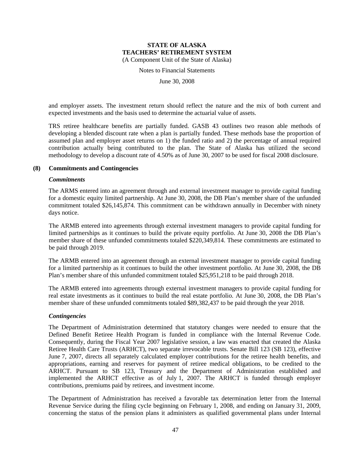Notes to Financial Statements

June 30, 2008

and employer assets. The investment return should reflect the nature and the mix of both current and expected investments and the basis used to determine the actuarial value of assets.

TRS retiree healthcare benefits are partially funded. GASB 43 outlines two reason able methods of developing a blended discount rate when a plan is partially funded. These methods base the proportion of assumed plan and employer asset returns on 1) the funded ratio and 2) the percentage of annual required contribution actually being contributed to the plan. The State of Alaska has utilized the second methodology to develop a discount rate of 4.50% as of June 30, 2007 to be used for fiscal 2008 disclosure.

#### **(8) Commitments and Contingencies**

#### *Commitments*

The ARMS entered into an agreement through and external investment manager to provide capital funding for a domestic equity limited partnership. At June 30, 2008, the DB Plan's member share of the unfunded commitment totaled \$26,145,874. This commitment can be withdrawn annually in December with ninety days notice.

The ARMB entered into agreements through external investment managers to provide capital funding for limited partnerships as it continues to build the private equity portfolio. At June 30, 2008 the DB Plan's member share of these unfunded commitments totaled \$220,349,814. These commitments are estimated to be paid through 2019.

The ARMB entered into an agreement through an external investment manager to provide capital funding for a limited partnership as it continues to build the other investment portfolio. At June 30, 2008, the DB Plan's member share of this unfunded commitment totaled \$25,951,218 to be paid through 2018.

The ARMB entered into agreements through external investment managers to provide capital funding for real estate investments as it continues to build the real estate portfolio. At June 30, 2008, the DB Plan's member share of these unfunded commitments totaled \$89,382,437 to be paid through the year 2018.

#### *Contingencies*

The Department of Administration determined that statutory changes were needed to ensure that the Defined Benefit Retiree Health Program is funded in compliance with the Internal Revenue Code. Consequently, during the Fiscal Year 2007 legislative session, a law was enacted that created the Alaska Retiree Health Care Trusts (ARHCT), two separate irrevocable trusts. Senate Bill 123 (SB 123), effective June 7, 2007, directs all separately calculated employer contributions for the retiree health benefits, and appropriations, earning and reserves for payment of retiree medical obligations, to be credited to the ARHCT. Pursuant to SB 123, Treasury and the Department of Administration established and implemented the ARHCT effective as of July 1, 2007. The ARHCT is funded through employer contributions, premiums paid by retirees, and investment income.

The Department of Administration has received a favorable tax determination letter from the Internal Revenue Service during the filing cycle beginning on February 1, 2008, and ending on January 31, 2009, concerning the status of the pension plans it administers as qualified governmental plans under Internal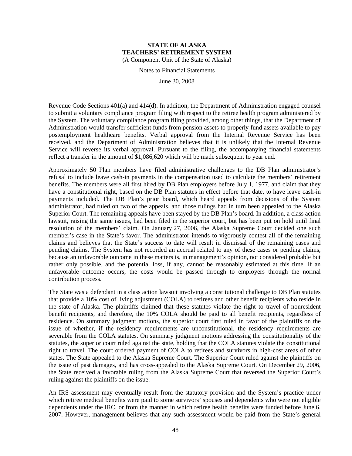Notes to Financial Statements

June 30, 2008

Revenue Code Sections 401(a) and 414(d). In addition, the Department of Administration engaged counsel to submit a voluntary compliance program filing with respect to the retiree health program administered by the System. The voluntary compliance program filing provided, among other things, that the Department of Administration would transfer sufficient funds from pension assets to properly fund assets available to pay postemployment healthcare benefits. Verbal approval from the Internal Revenue Service has been received, and the Department of Administration believes that it is unlikely that the Internal Revenue Service will reverse its verbal approval. Pursuant to the filing, the accompanying financial statements reflect a transfer in the amount of \$1,086,620 which will be made subsequent to year end.

Approximately 50 Plan members have filed administrative challenges to the DB Plan administrator's refusal to include leave cash-in payments in the compensation used to calculate the members' retirement benefits. The members were all first hired by DB Plan employers before July 1, 1977, and claim that they have a constitutional right, based on the DB Plan statutes in effect before that date, to have leave cash-in payments included. The DB Plan's prior board, which heard appeals from decisions of the System administrator, had ruled on two of the appeals, and those rulings had in turn been appealed to the Alaska Superior Court. The remaining appeals have been stayed by the DB Plan's board. In addition, a class action lawsuit, raising the same issues, had been filed in the superior court, but has been put on hold until final resolution of the members' claim. On January 27, 2006, the Alaska Supreme Court decided one such member's case in the State's favor. The administrator intends to vigorously contest all of the remaining claims and believes that the State's success to date will result in dismissal of the remaining cases and pending claims. The System has not recorded an accrual related to any of these cases or pending claims, because an unfavorable outcome in these matters is, in management's opinion, not considered probable but rather only possible, and the potential loss, if any, cannot be reasonably estimated at this time. If an unfavorable outcome occurs, the costs would be passed through to employers through the normal contribution process.

The State was a defendant in a class action lawsuit involving a constitutional challenge to DB Plan statutes that provide a 10% cost of living adjustment (COLA) to retirees and other benefit recipients who reside in the state of Alaska. The plaintiffs claimed that these statutes violate the right to travel of nonresident benefit recipients, and therefore, the 10% COLA should be paid to all benefit recipients, regardless of residence. On summary judgment motions, the superior court first ruled in favor of the plaintiffs on the issue of whether, if the residency requirements are unconstitutional, the residency requirements are severable from the COLA statutes. On summary judgment motions addressing the constitutionality of the statutes, the superior court ruled against the state, holding that the COLA statutes violate the constitutional right to travel. The court ordered payment of COLA to retirees and survivors in high-cost areas of other states. The State appealed to the Alaska Supreme Court. The Superior Court ruled against the plaintiffs on the issue of past damages, and has cross-appealed to the Alaska Supreme Court. On December 29, 2006, the State received a favorable ruling from the Alaska Supreme Court that reversed the Superior Court's ruling against the plaintiffs on the issue.

An IRS assessment may eventually result from the statutory provision and the System's practice under which retiree medical benefits were paid to some survivors' spouses and dependents who were not eligible dependents under the IRC, or from the manner in which retiree health benefits were funded before June 6, 2007. However, management believes that any such assessment would be paid from the State's general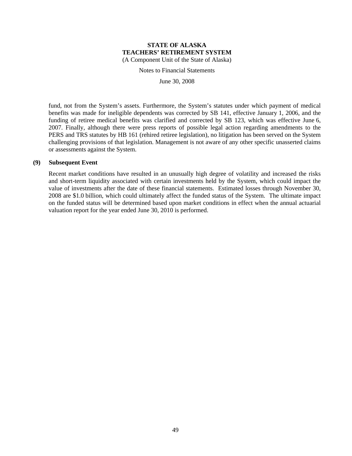Notes to Financial Statements

June 30, 2008

fund, not from the System's assets. Furthermore, the System's statutes under which payment of medical benefits was made for ineligible dependents was corrected by SB 141, effective January 1, 2006, and the funding of retiree medical benefits was clarified and corrected by SB 123, which was effective June 6, 2007. Finally, although there were press reports of possible legal action regarding amendments to the PERS and TRS statutes by HB 161 (rehired retiree legislation), no litigation has been served on the System challenging provisions of that legislation. Management is not aware of any other specific unasserted claims or assessments against the System.

## **(9) Subsequent Event**

Recent market conditions have resulted in an unusually high degree of volatility and increased the risks and short-term liquidity associated with certain investments held by the System, which could impact the value of investments after the date of these financial statements. Estimated losses through November 30, 2008 are \$1.0 billion, which could ultimately affect the funded status of the System. The ultimate impact on the funded status will be determined based upon market conditions in effect when the annual actuarial valuation report for the year ended June 30, 2010 is performed.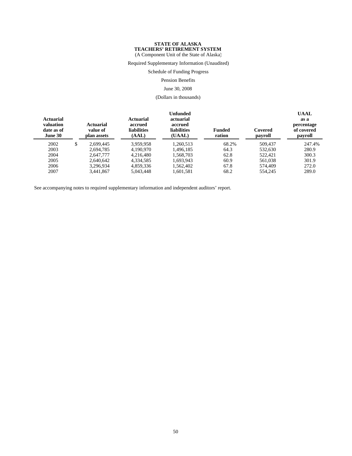(A Component Unit of the State of Alaska)

Required Supplementary Information (Unaudited)

Schedule of Funding Progress

Pension Benefits

#### June 30, 2008

(Dollars in thousands)

| <b>Actuarial</b><br>valuation<br>date as of<br>June 30 | Actuarial<br>value of<br>plan assets | Actuarial<br>accrued<br><b>liabilities</b><br>(AAL) | Unfunded<br>actuarial<br>accrued<br><b>liabilities</b><br>(UAAL) | <b>Funded</b><br>ration | Covered<br>payroll | <b>UAAL</b><br>as a<br>percentage<br>of covered<br>payroll |
|--------------------------------------------------------|--------------------------------------|-----------------------------------------------------|------------------------------------------------------------------|-------------------------|--------------------|------------------------------------------------------------|
| 2002                                                   | \$<br>2.699.445                      | 3.959.958                                           | 1.260.513                                                        | 68.2%                   | 509.437            | 247.4%                                                     |
| 2003                                                   | 2.694.785                            | 4.190.970                                           | 1.496.185                                                        | 64.3                    | 532.630            | 280.9                                                      |
| 2004                                                   | 2.647.777                            | 4.216.480                                           | 1,568,703                                                        | 62.8                    | 522,421            | 300.3                                                      |
| 2005                                                   | 2.640.642                            | 4,334,585                                           | 1.693.943                                                        | 60.9                    | 561,038            | 301.9                                                      |
| 2006                                                   | 3.296.934                            | 4.859.336                                           | 1.562.402                                                        | 67.8                    | 574.409            | 272.0                                                      |
| 2007                                                   | 3.441.867                            | 5.043.448                                           | 1.601.581                                                        | 68.2                    | 554.245            | 289.0                                                      |

See accompanying notes to required supplementary information and independent auditors' report.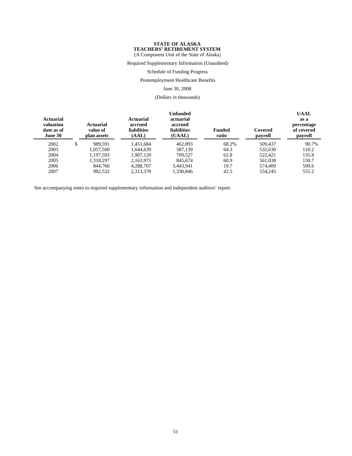(A Component Unit of the State of Alaska)

Required Supplementary Information (Unaudited)

Schedule of Funding Progress

Postemployment Healthcare Benefits

June 30, 2008

(Dollars in thousands)

| Actuarial<br>valuation<br>date as of<br>June 30 | <b>Actuarial</b><br>value of<br>plan assets | Actuarial<br>accrued<br><b>liabilities</b><br>(AAL) | <b>Unfunded</b><br>actuarial<br>accrued<br><b>liabilities</b><br>(UAAL) | <b>Funded</b><br>ratio | Covered<br>payroll | <b>UAAL</b><br>as a<br>percentage<br>of covered<br>payroll |
|-------------------------------------------------|---------------------------------------------|-----------------------------------------------------|-------------------------------------------------------------------------|------------------------|--------------------|------------------------------------------------------------|
| 2002                                            | \$<br>989.591                               | 1,451,684                                           | 462,093                                                                 | 68.2%                  | 509,437            | 90.7%                                                      |
| 2003                                            | 1.057.500                                   | 1.644.639                                           | 587.139                                                                 | 64.3                   | 532.630            | 110.2                                                      |
| 2004                                            | 1.197.593                                   | 1.907.120                                           | 709.527                                                                 | 62.8                   | 522,421            | 135.8                                                      |
| 2005                                            | 1.318.297                                   | 2.163.971                                           | 845.674                                                                 | 60.9                   | 561.038            | 150.7                                                      |
| 2006                                            | 844,766                                     | 4.288.707                                           | 3.443.941                                                               | 19.7                   | 574,409            | 599.6                                                      |
| 2007                                            | 982,532                                     | 2,313,378                                           | 1,330,846                                                               | 42.5                   | 554,245            | 555.2                                                      |

See accompanying notes to required supplementary information and independent auditors' report.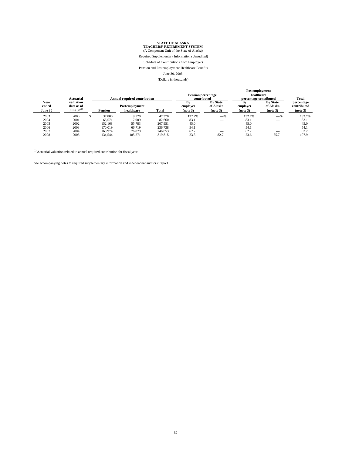Required Supplementary Information (Unaudited)

Schedule of Contributions from Employers

Pension and Postemployment Healthcare Benefits

June 30, 2008

(Dollars in thousands)

| Actuarial                |                                            | <b>Annual required contribution</b> |                              |         | <b>Pension percentage</b><br>contributed |                                          | Postemployment<br>healthcare<br>percentage contributed |                                          | Total                                 |
|--------------------------|--------------------------------------------|-------------------------------------|------------------------------|---------|------------------------------------------|------------------------------------------|--------------------------------------------------------|------------------------------------------|---------------------------------------|
| Year<br>ended<br>June 30 | valuation<br>date as of<br>June $30^{(1)}$ | <b>Pension</b>                      | Postemployment<br>healthcare | Total   | Bv<br>employer<br>(note 3)               | <b>By State</b><br>of Alaska<br>(note 3) | <b>Bv</b><br>employer<br>(note 3)                      | <b>By State</b><br>of Alaska<br>(note 3) | percentage<br>contributed<br>(note 3) |
| 2003                     | 2000                                       | 37,800                              | 9.570                        | 47,370  | 132.7%                                   | $-$ %                                    | 132.7%                                                 | $-$ %                                    | 132.7%                                |
| 2004                     | 2001                                       | 65.571                              | 17.089                       | 82,660  | 83.1                                     | $-$                                      | 83.1                                                   | __                                       | 83.1                                  |
| 2005                     | 2002                                       | 152.168                             | 55.783                       | 207.951 | 45.0                                     | $-$                                      | 45.0                                                   | __                                       | 45.0                                  |
| 2006                     | 2003                                       | 170.019                             | 66.719                       | 236,738 | 54.1                                     |                                          | 54.1                                                   |                                          | 54.1                                  |
| 2007                     | 2004                                       | 169,974                             | 76,879                       | 246,853 | 62.2                                     | __                                       | 62.2                                                   | __                                       | 62.2                                  |
| 2008                     | 2005                                       | 134.544                             | 185.271                      | 319,815 | 23.3                                     | 82.7                                     | 23.6                                                   | 85.7                                     | 107.9                                 |

 $\,^{(1)}$  Actuarial valuation related to annual required contribution for fiscal year.

See accompanying notes to required supplementary information and independent auditors' report.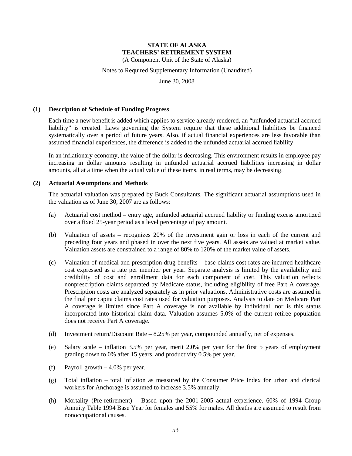(A Component Unit of the State of Alaska)

#### Notes to Required Supplementary Information (Unaudited)

June 30, 2008

#### **(1) Description of Schedule of Funding Progress**

Each time a new benefit is added which applies to service already rendered, an "unfunded actuarial accrued liability" is created. Laws governing the System require that these additional liabilities be financed systematically over a period of future years. Also, if actual financial experiences are less favorable than assumed financial experiences, the difference is added to the unfunded actuarial accrued liability.

In an inflationary economy, the value of the dollar is decreasing. This environment results in employee pay increasing in dollar amounts resulting in unfunded actuarial accrued liabilities increasing in dollar amounts, all at a time when the actual value of these items, in real terms, may be decreasing.

#### **(2) Actuarial Assumptions and Methods**

The actuarial valuation was prepared by Buck Consultants. The significant actuarial assumptions used in the valuation as of June 30, 2007 are as follows:

- (a) Actuarial cost method entry age, unfunded actuarial accrued liability or funding excess amortized over a fixed 25-year period as a level percentage of pay amount.
- (b) Valuation of assets recognizes 20% of the investment gain or loss in each of the current and preceding four years and phased in over the next five years. All assets are valued at market value. Valuation assets are constrained to a range of 80% to 120% of the market value of assets.
- (c) Valuation of medical and prescription drug benefits base claims cost rates are incurred healthcare cost expressed as a rate per member per year. Separate analysis is limited by the availability and credibility of cost and enrollment data for each component of cost. This valuation reflects nonprescription claims separated by Medicare status, including eligibility of free Part A coverage. Prescription costs are analyzed separately as in prior valuations. Administrative costs are assumed in the final per capita claims cost rates used for valuation purposes. Analysis to date on Medicare Part A coverage is limited since Part A coverage is not available by individual, nor is this status incorporated into historical claim data. Valuation assumes 5.0% of the current retiree population does not receive Part A coverage.
- (d) Investment return/Discount Rate 8.25% per year, compounded annually, net of expenses.
- (e) Salary scale inflation 3.5% per year, merit 2.0% per year for the first 5 years of employment grading down to 0% after 15 years, and productivity 0.5% per year.
- (f) Payroll growth 4.0% per year.
- (g) Total inflation total inflation as measured by the Consumer Price Index for urban and clerical workers for Anchorage is assumed to increase 3.5% annually.
- (h) Mortality (Pre-retirement) Based upon the 2001-2005 actual experience. 60% of 1994 Group Annuity Table 1994 Base Year for females and 55% for males. All deaths are assumed to result from nonoccupational causes.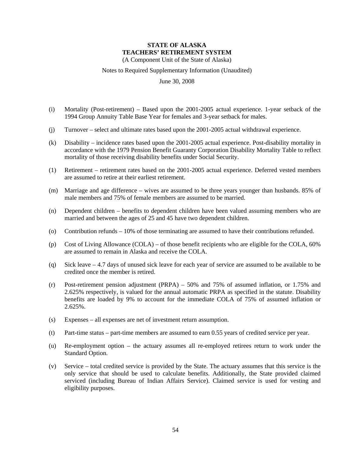(A Component Unit of the State of Alaska)

Notes to Required Supplementary Information (Unaudited)

June 30, 2008

- (i) Mortality (Post-retirement) Based upon the 2001-2005 actual experience. 1-year setback of the 1994 Group Annuity Table Base Year for females and 3-year setback for males.
- (j) Turnover select and ultimate rates based upon the 2001-2005 actual withdrawal experience.
- (k) Disability incidence rates based upon the 2001-2005 actual experience. Post-disability mortality in accordance with the 1979 Pension Benefit Guaranty Corporation Disability Mortality Table to reflect mortality of those receiving disability benefits under Social Security.
- (1) Retirement retirement rates based on the 2001-2005 actual experience. Deferred vested members are assumed to retire at their earliest retirement.
- (m) Marriage and age difference wives are assumed to be three years younger than husbands. 85% of male members and 75% of female members are assumed to be married.
- (n) Dependent children benefits to dependent children have been valued assuming members who are married and between the ages of 25 and 45 have two dependent children.
- (o) Contribution refunds 10% of those terminating are assumed to have their contributions refunded.
- (p) Cost of Living Allowance (COLA) of those benefit recipients who are eligible for the COLA, 60% are assumed to remain in Alaska and receive the COLA.
- (q) Sick leave 4.7 days of unused sick leave for each year of service are assumed to be available to be credited once the member is retired.
- (r) Post-retirement pension adjustment (PRPA) 50% and 75% of assumed inflation, or 1.75% and 2.625% respectively, is valued for the annual automatic PRPA as specified in the statute. Disability benefits are loaded by 9% to account for the immediate COLA of 75% of assumed inflation or 2.625%.
- (s) Expenses all expenses are net of investment return assumption.
- (t) Part-time status part-time members are assumed to earn 0.55 years of credited service per year.
- (u) Re-employment option the actuary assumes all re-employed retirees return to work under the Standard Option.
- (v) Service total credited service is provided by the State. The actuary assumes that this service is the only service that should be used to calculate benefits. Additionally, the State provided claimed serviced (including Bureau of Indian Affairs Service). Claimed service is used for vesting and eligibility purposes.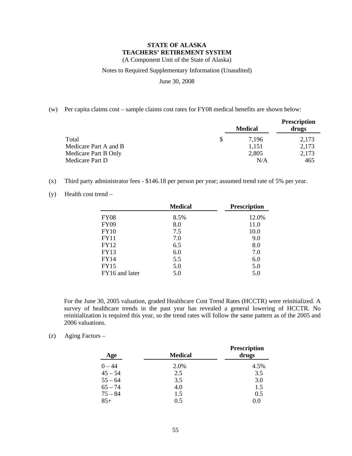(A Component Unit of the State of Alaska)

#### Notes to Required Supplementary Information (Unaudited)

June 30, 2008

(w) Per capita claims cost – sample claims cost rates for FY08 medical benefits are shown below:

|                       |   | <b>Medical</b> | <b>Prescription</b><br>drugs |
|-----------------------|---|----------------|------------------------------|
| Total                 | S | 7.196          | 2,173                        |
| Medicare Part A and B |   | 1.151          | 2,173                        |
| Medicare Part B Only  |   | 2,805          | 2,173                        |
| Medicare Part D       |   | N/A            | 465                          |

- (x) Third party administrator fees \$146.18 per person per year; assumed trend rate of 5% per year.
- (y) Health cost trend –

|                | <b>Medical</b> | <b>Prescription</b> |
|----------------|----------------|---------------------|
| <b>FY08</b>    | 8.5%           | 12.0%               |
| <b>FY09</b>    | 8.0            | 11.0                |
| <b>FY10</b>    | 7.5            | 10.0                |
| <b>FY11</b>    | 7.0            | 9.0                 |
| <b>FY12</b>    | 6.5            | 8.0                 |
| <b>FY13</b>    | 6.0            | 7.0                 |
| <b>FY14</b>    | 5.5            | 6.0                 |
| <b>FY15</b>    | 5.0            | 5.0                 |
| FY16 and later | 5.0            | 5.0                 |

For the June 30, 2005 valuation, graded Healthcare Cost Trend Rates (HCCTR) were reinitialized. A survey of healthcare trends in the past year has revealed a general lowering of HCCTR. No reinitialization is required this year, so the trend rates will follow the same pattern as of the 2005 and 2006 valuations.

(z) Aging Factors –

| Age       | <b>Medical</b> | <b>Prescription</b><br>drugs |
|-----------|----------------|------------------------------|
| $0 - 44$  | 2.0%           | 4.5%                         |
| $45 - 54$ | 2.5            | 3.5                          |
| $55 - 64$ | 3.5            | 3.0                          |
| $65 - 74$ | 4.0            | 1.5                          |
| $75 - 84$ | 1.5            | 0.5                          |
| $85+$     | 0.5            | 0.0                          |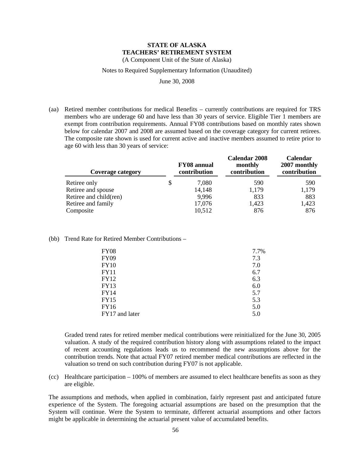(A Component Unit of the State of Alaska)

#### Notes to Required Supplementary Information (Unaudited)

June 30, 2008

(aa) Retired member contributions for medical Benefits – currently contributions are required for TRS members who are underage 60 and have less than 30 years of service. Eligible Tier 1 members are exempt from contribution requirements. Annual FY08 contributions based on monthly rates shown below for calendar 2007 and 2008 are assumed based on the coverage category for current retirees. The composite rate shown is used for current active and inactive members assumed to retire prior to age 60 with less than 30 years of service:

| <b>FY08</b> annual<br>contribution | <b>Calendar 2008</b><br>monthly<br>contribution | Calendar<br>2007 monthly<br>contribution |
|------------------------------------|-------------------------------------------------|------------------------------------------|
| 7,080                              | 590                                             | 590                                      |
| 14,148                             | 1,179                                           | 1,179                                    |
| 9.996                              | 833                                             | 883                                      |
| 17,076                             | 1,423                                           | 1,423                                    |
| 10,512                             | 876                                             | 876                                      |
|                                    |                                                 |                                          |

(bb) Trend Rate for Retired Member Contributions –

| <b>FY08</b>    | 7.7% |
|----------------|------|
| <b>FY09</b>    | 7.3  |
| <b>FY10</b>    | 7.0  |
| <b>FY11</b>    | 6.7  |
| <b>FY12</b>    | 6.3  |
| <b>FY13</b>    | 6.0  |
| <b>FY14</b>    | 5.7  |
| <b>FY15</b>    | 5.3  |
| <b>FY16</b>    | 5.0  |
| FY17 and later | 5.0  |

Graded trend rates for retired member medical contributions were reinitialized for the June 30, 2005 valuation. A study of the required contribution history along with assumptions related to the impact of recent accounting regulations leads us to recommend the new assumptions above for the contribution trends. Note that actual FY07 retired member medical contributions are reflected in the valuation so trend on such contribution during FY07 is not applicable.

(cc) Healthcare participation – 100% of members are assumed to elect healthcare benefits as soon as they are eligible.

The assumptions and methods, when applied in combination, fairly represent past and anticipated future experience of the System. The foregoing actuarial assumptions are based on the presumption that the System will continue. Were the System to terminate, different actuarial assumptions and other factors might be applicable in determining the actuarial present value of accumulated benefits.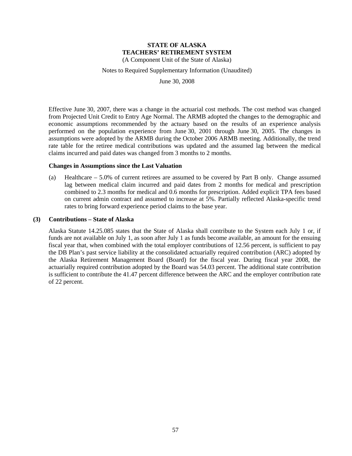(A Component Unit of the State of Alaska)

#### Notes to Required Supplementary Information (Unaudited)

June 30, 2008

Effective June 30, 2007, there was a change in the actuarial cost methods. The cost method was changed from Projected Unit Credit to Entry Age Normal. The ARMB adopted the changes to the demographic and economic assumptions recommended by the actuary based on the results of an experience analysis performed on the population experience from June 30, 2001 through June 30, 2005. The changes in assumptions were adopted by the ARMB during the October 2006 ARMB meeting. Additionally, the trend rate table for the retiree medical contributions was updated and the assumed lag between the medical claims incurred and paid dates was changed from 3 months to 2 months.

#### **Changes in Assumptions since the Last Valuation**

(a) Healthcare – 5.0% of current retirees are assumed to be covered by Part B only. Change assumed lag between medical claim incurred and paid dates from 2 months for medical and prescription combined to 2.3 months for medical and 0.6 months for prescription. Added explicit TPA fees based on current admin contract and assumed to increase at 5%. Partially reflected Alaska-specific trend rates to bring forward experience period claims to the base year.

#### **(3) Contributions – State of Alaska**

Alaska Statute 14.25.085 states that the State of Alaska shall contribute to the System each July 1 or, if funds are not available on July 1, as soon after July 1 as funds become available, an amount for the ensuing fiscal year that, when combined with the total employer contributions of 12.56 percent, is sufficient to pay the DB Plan's past service liability at the consolidated actuarially required contribution (ARC) adopted by the Alaska Retirement Management Board (Board) for the fiscal year. During fiscal year 2008, the actuarially required contribution adopted by the Board was 54.03 percent. The additional state contribution is sufficient to contribute the 41.47 percent difference between the ARC and the employer contribution rate of 22 percent.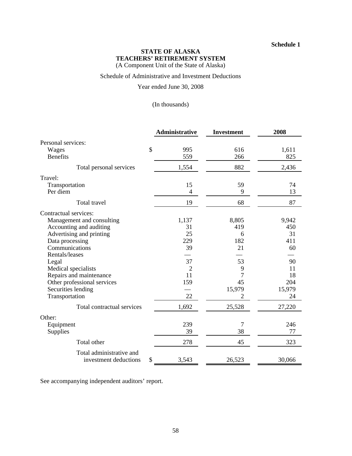#### **Schedule 1**

## **STATE OF ALASKA TEACHERS' RETIREMENT SYSTEM**

(A Component Unit of the State of Alaska)

Schedule of Administrative and Investment Deductions

Year ended June 30, 2008

## (In thousands)

|                                                   | <b>Administrative</b> | <b>Investment</b> | 2008   |
|---------------------------------------------------|-----------------------|-------------------|--------|
| Personal services:                                |                       |                   |        |
| Wages                                             | \$<br>995             | 616               | 1,611  |
| <b>Benefits</b>                                   | 559                   | 266               | 825    |
| Total personal services                           | 1,554                 | 882               | 2,436  |
| Travel:                                           |                       |                   |        |
| Transportation                                    | 15                    | 59                | 74     |
| Per diem                                          | $\overline{4}$        | 9                 | 13     |
| Total travel                                      | 19                    | 68                | 87     |
| Contractual services:                             |                       |                   |        |
| Management and consulting                         | 1,137                 | 8,805             | 9,942  |
| Accounting and auditing                           | 31                    | 419               | 450    |
| Advertising and printing                          | 25                    | 6                 | 31     |
| Data processing                                   | 229                   | 182               | 411    |
| Communications                                    | 39                    | 21                | 60     |
| Rentals/leases                                    |                       |                   |        |
| Legal                                             | 37                    | 53                | 90     |
| Medical specialists                               | 2                     | 9                 | 11     |
| Repairs and maintenance                           | 11                    | 7                 | 18     |
| Other professional services                       | 159                   | 45                | 204    |
| Securities lending                                |                       | 15,979            | 15,979 |
| Transportation                                    | 22                    | $\overline{2}$    | 24     |
| Total contractual services                        | 1,692                 | 25,528            | 27,220 |
| Other:                                            |                       |                   |        |
| Equipment                                         | 239                   | 7                 | 246    |
| Supplies                                          | 39                    | 38                | 77     |
| Total other                                       | 278                   | 45                | 323    |
| Total administrative and<br>investment deductions | \$<br>3,543           | 26,523            | 30,066 |

See accompanying independent auditors' report.